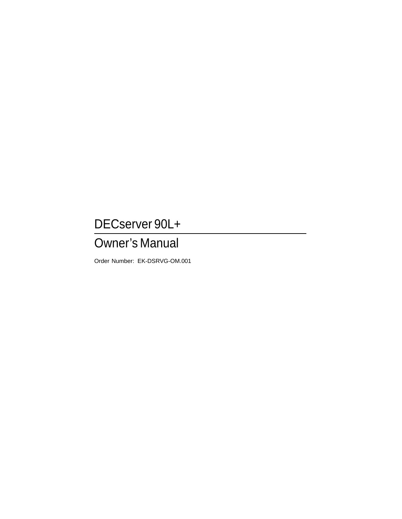## DECserver 90L+

## Owner's Manual

Order Number: EK-DSRVG-OM.001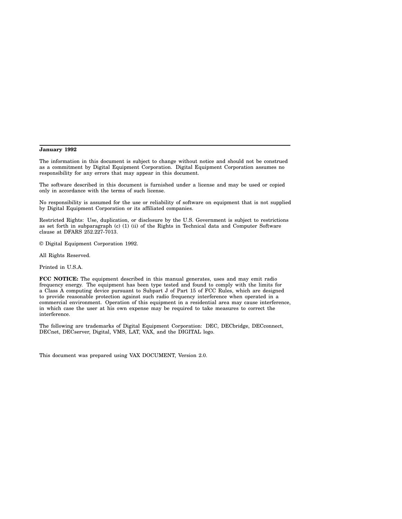#### **January 1992**

The information in this document is subject to change without notice and should not be construed as a commitment by Digital Equipment Corporation. Digital Equipment Corporation assumes no responsibility for any errors that may appear in this document.

The software described in this document is furnished under a license and may be used or copied only in accordance with the terms of such license.

No responsibility is assumed for the use or reliability of software on equipment that is not supplied by Digital Equipment Corporation or its affiliated companies.

Restricted Rights: Use, duplication, or disclosure by the U.S. Government is subject to restrictions as set forth in subparagraph (c) (1) (ii) of the Rights in Technical data and Computer Software clause at DFARS 252.227-7013.

© Digital Equipment Corporation 1992.

All Rights Reserved.

Printed in U.S.A.

**FCC NOTICE:** The equipment described in this manual generates, uses and may emit radio frequency energy. The equipment has been type tested and found to comply with the limits for a Class A computing device pursuant to Subpart J of Part 15 of FCC Rules, which are designed to provide reasonable protection against such radio frequency interference when operated in a commercial environment. Operation of this equipment in a residential area may cause interference, in which case the user at his own expense may be required to take measures to correct the interference.

The following are trademarks of Digital Equipment Corporation: DEC, DECbridge, DECconnect, DECnet, DECserver, Digital, VMS, LAT, VAX, and the DIGITAL logo.

This document was prepared using VAX DOCUMENT, Version 2.0.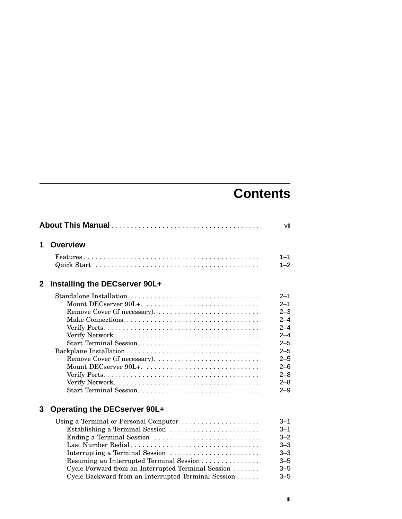# **Contents**

| 1            | <b>Overview</b>                                                                                                                                                                                                                                                                                                         |                                                                                                                                             |
|--------------|-------------------------------------------------------------------------------------------------------------------------------------------------------------------------------------------------------------------------------------------------------------------------------------------------------------------------|---------------------------------------------------------------------------------------------------------------------------------------------|
|              |                                                                                                                                                                                                                                                                                                                         | $1 - 1$<br>$1 - 2$                                                                                                                          |
| $\mathbf{2}$ | Installing the DECserver 90L+                                                                                                                                                                                                                                                                                           |                                                                                                                                             |
|              | Standalone Installation                                                                                                                                                                                                                                                                                                 | $2 - 1$<br>$2 - 1$<br>$2 - 3$<br>$2 - 4$<br>$2 - 4$<br>$2 - 4$<br>$2 - 5$<br>$2 - 5$<br>$2 - 5$<br>$2 - 6$<br>$2 - 8$<br>$2 - 8$<br>$2 - 9$ |
| 3            | <b>Operating the DECserver 90L+</b>                                                                                                                                                                                                                                                                                     |                                                                                                                                             |
|              | Using a Terminal or Personal Computer<br>Establishing a Terminal Session<br>Ending a Terminal Session<br>Last Number Redial<br>Interrupting a Terminal Session<br>Resuming an Interrupted Terminal Session<br>Cycle Forward from an Interrupted Terminal Session<br>Cycle Backward from an Interrupted Terminal Session | $3 - 1$<br>$3 - 1$<br>$3 - 2$<br>$3 - 3$<br>$3 - 3$<br>$3 - 5$<br>$3 - 5$<br>$3 - 5$                                                        |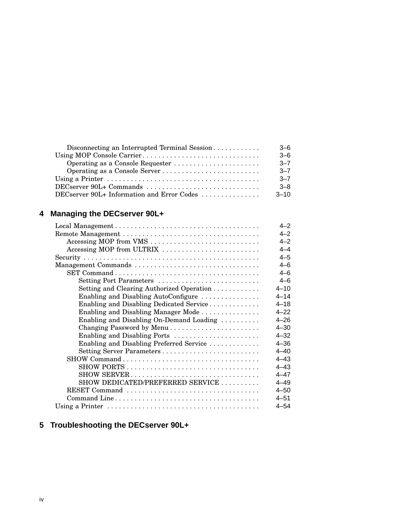| Disconnecting an Interrupted Terminal Session | $3-6$    |
|-----------------------------------------------|----------|
|                                               | $-6$     |
| Operating as a Console Requester              | $-7$     |
|                                               | $-7-7$   |
|                                               | $-7$     |
| DECserver 90L+ Commands                       | $-8$     |
| DECserver 90L+ Information and Error Codes    | $3 - 10$ |

## **4 Managing the DECserver 90L+**

|                                           | $4 - 2$  |
|-------------------------------------------|----------|
|                                           | $4 - 2$  |
| Accessing MOP from VMS                    | $4 - 2$  |
| Accessing MOP from ULTRIX                 | $4 - 4$  |
|                                           | $4 - 5$  |
|                                           | $4 - 6$  |
|                                           | $4 - 6$  |
| Setting Port Parameters                   | $4 - 6$  |
| Setting and Clearing Authorized Operation | $4 - 10$ |
| Enabling and Disabling AutoConfigure      | $4 - 14$ |
| Enabling and Disabling Dedicated Service  | $4 - 18$ |
| Enabling and Disabling Manager Mode       | $4 - 22$ |
| Enabling and Disabling On-Demand Loading  | $4 - 26$ |
| Changing Password by Menu                 | $4 - 30$ |
| Enabling and Disabling Ports              | $4 - 32$ |
| Enabling and Disabling Preferred Service  | $4 - 36$ |
| Setting Server Parameters                 | $4 - 40$ |
|                                           | $4 - 43$ |
|                                           | $4 - 43$ |
| SHOW SERVER                               | $4 - 47$ |
| SHOW DEDICATED/PREFERRED SERVICE          | $4 - 49$ |
| RESET Command                             | $4 - 50$ |
|                                           | $4 - 51$ |
|                                           | $4 - 54$ |

## **5 Troubleshooting the DECserver 90L+**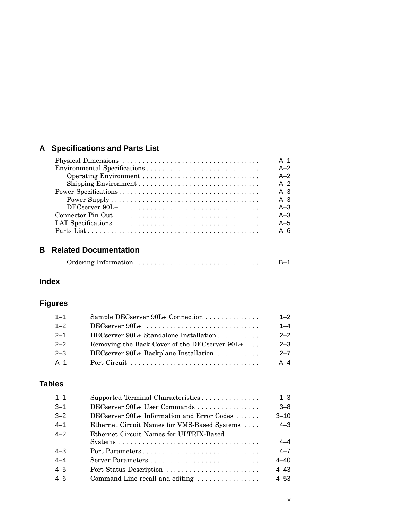## **A Specifications and Parts List**

|                                                                          | $A-1$   |
|--------------------------------------------------------------------------|---------|
|                                                                          | $A-2$   |
|                                                                          | $A-2$   |
|                                                                          | $A-2$   |
|                                                                          | $A - 3$ |
|                                                                          | $A - 3$ |
| $DECserver 90L+ \ldots \ldots \ldots \ldots \ldots \ldots \ldots \ldots$ | $A - 3$ |
|                                                                          | $A - 3$ |
|                                                                          | $A - 5$ |
|                                                                          | $A - 6$ |

#### **B Related Documentation**

|  |  | $B-1$ |
|--|--|-------|
|--|--|-------|

## **Index**

## **Figures**

| $1 - 1$ | Sample DECserver 90L+ Connection              | $1 - 2$ |
|---------|-----------------------------------------------|---------|
| $1 - 2$ |                                               | $1 - 4$ |
| $2 - 1$ | DECserver 90L+ Standalone Installation        | $2 - 2$ |
| $2 - 2$ | Removing the Back Cover of the DECserver 90L+ | $2 - 3$ |
| $2 - 3$ | DECserver 90L+ Backplane Installation         | $2 - 7$ |
| A-1     |                                               | $A - 4$ |

## **Tables**

| $1 - 1$ | Supported Terminal Characteristics           | $1 - 3$  |
|---------|----------------------------------------------|----------|
| $3 - 1$ | DECserver 90L+ User Commands                 | $3 - 8$  |
| $3 - 2$ | $DECserver 90L+ Information and Error Codes$ | $3 - 10$ |
| $4 - 1$ | Ethernet Circuit Names for VMS-Based Systems | $4 - 3$  |
| $4 - 2$ | Ethernet Circuit Names for ULTRIX-Based      |          |
|         |                                              | $4 - 4$  |
| $4 - 3$ | Port Parameters                              | $4 - 7$  |
| $4 - 4$ |                                              | $4 - 40$ |
| $4 - 5$ | Port Status Description                      | $4 - 43$ |
| $4 - 6$ | Command Line recall and editing              | $4 - 53$ |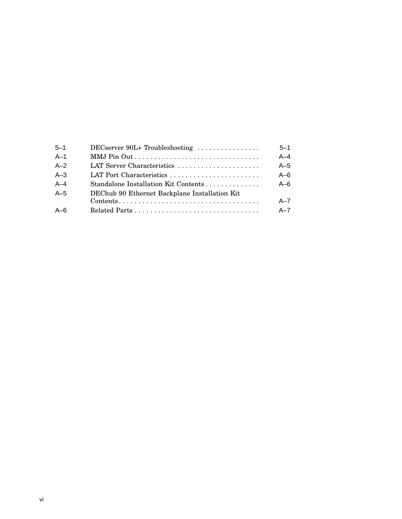| $5 - 1$ | DECserver 90L+ Troubleshooting                                                           | $5 - 1$ |
|---------|------------------------------------------------------------------------------------------|---------|
| $A-1$   |                                                                                          | $A - 4$ |
| $A-2$   | LAT Server Characteristics                                                               | $A-5$   |
| $A-3$   |                                                                                          | $A-6$   |
| $A-4$   | Standalone Installation Kit Contents                                                     | $A - 6$ |
| $A-5$   | DEChub 90 Ethernet Backplane Installation Kit                                            |         |
|         | $Contents \dots \dots \dots \dots \dots \dots \dots \dots \dots \dots \dots \dots \dots$ | $A - 7$ |
| $A - 6$ |                                                                                          | $A - 7$ |
|         |                                                                                          |         |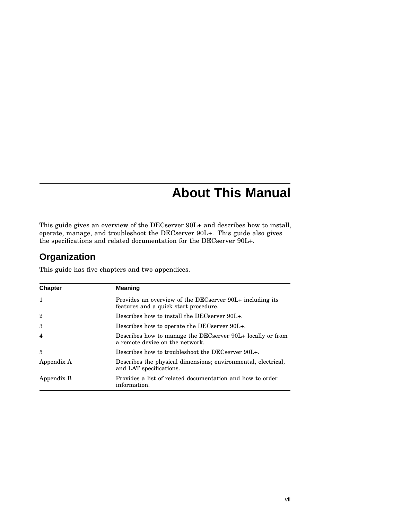## **About This Manual**

This guide gives an overview of the DECserver 90L+ and describes how to install, operate, manage, and troubleshoot the DECserver 90L+. This guide also gives the specifications and related documentation for the DECserver 90L+.

## **Organization**

This guide has five chapters and two appendices.

| <b>Chapter</b>          | <b>Meaning</b>                                                                                    |  |  |
|-------------------------|---------------------------------------------------------------------------------------------------|--|--|
| $\mathbf{1}$            | Provides an overview of the DECserver 90L+ including its<br>features and a quick start procedure. |  |  |
| $\overline{2}$          | Describes how to install the DECserver 90L+.                                                      |  |  |
| 3                       | Describes how to operate the DECserver 90L+.                                                      |  |  |
| $\overline{\mathbf{4}}$ | Describes how to manage the DECserver 90L+ locally or from<br>a remote device on the network.     |  |  |
| 5                       | Describes how to troubleshoot the DECserver 90L+.                                                 |  |  |
| Appendix A              | Describes the physical dimensions; environmental, electrical,<br>and LAT specifications.          |  |  |
| Appendix B              | Provides a list of related documentation and how to order<br>information.                         |  |  |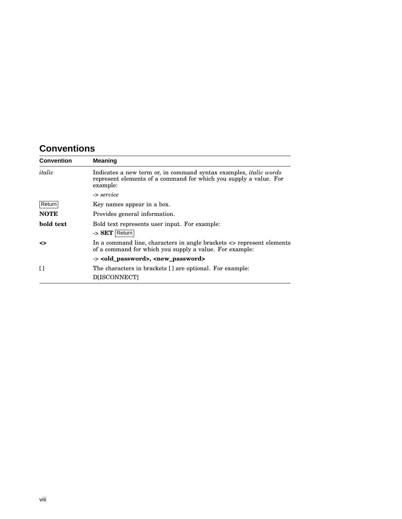## **Conventions**

| <b>Convention</b> | <b>Meaning</b>                                                                                                                                            |
|-------------------|-----------------------------------------------------------------------------------------------------------------------------------------------------------|
| italic            | Indicates a new term or, in command syntax examples, <i>italic words</i><br>represent elements of a command for which you supply a value. For<br>example: |
|                   | -> service                                                                                                                                                |
| Return            | Key names appear in a box.                                                                                                                                |
| <b>NOTE</b>       | Provides general information.                                                                                                                             |
| bold text         | Bold text represents user input. For example:                                                                                                             |
|                   | -> SET Return                                                                                                                                             |
| ◇                 | In a command line, characters in angle brackets $\langle$ represent elements<br>of a command for which you supply a value. For example:                   |
|                   | -> <old_password>, <new_password></new_password></old_password>                                                                                           |
| Ħ                 | The characters in brackets [] are optional. For example:                                                                                                  |
|                   | <b>DIISCONNECTI</b>                                                                                                                                       |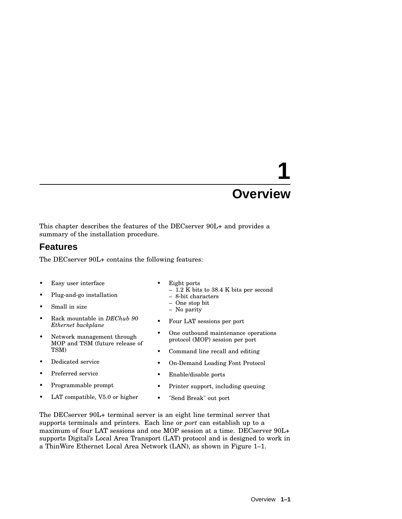This chapter describes the features of the DECserver 90L+ and provides a summary of the installation procedure.

### **Features**

The DECserver 90L+ contains the following features:

- Easy user interface
- Plug-and-go installation
- Small in size
- Rack mountable in *DEChub 90 Ethernet backplane*
- Network management through MOP and TSM (future release of TSM)
- Dedicated service
- Preferred service
- Programmable prompt
- LAT compatible, V5.0 or higher
- Eight ports
	- $-$  1.2 K bits to 38.4 K bits per second
	- 8-bit characters
	- One stop bit – No parity
	-
- Four LAT sessions per port
- One outbound maintenance operations protocol (MOP) session per port
- Command line recall and editing
- On-Demand Loading Font Protocol
- Enable/disable ports
- Printer support, including queuing
- "Send Break" out port

The DECserver 90L+ terminal server is an eight line terminal server that supports terminals and printers. Each line or *port* can establish up to a maximum of four LAT sessions and one MOP session at a time. DECserver 90L+ supports Digital's Local Area Transport (LAT) protocol and is designed to work in a ThinWire Ethernet Local Area Network (LAN), as shown in Figure 1–1.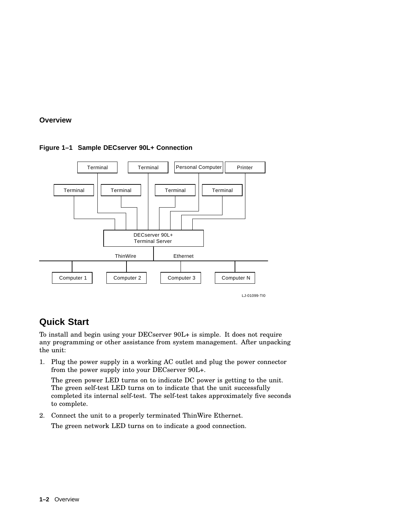

#### **Figure 1–1 Sample DECserver 90L+ Connection**

## **Quick Start**

To install and begin using your DECserver 90L+ is simple. It does not require any programming or other assistance from system management. After unpacking the unit:

1. Plug the power supply in a working AC outlet and plug the power connector from the power supply into your DECserver 90L+.

The green power LED turns on to indicate DC power is getting to the unit. The green self-test LED turns on to indicate that the unit successfully completed its internal self-test. The self-test takes approximately five seconds to complete.

2. Connect the unit to a properly terminated ThinWire Ethernet.

The green network LED turns on to indicate a good connection.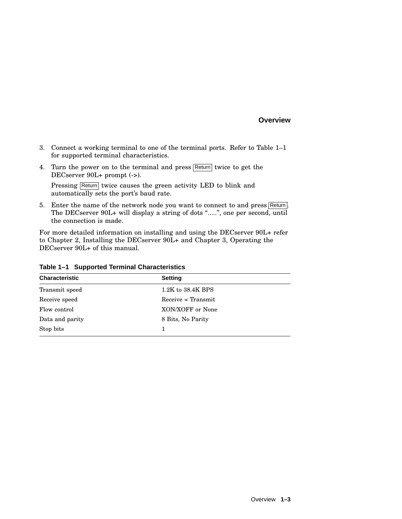- 3. Connect a working terminal to one of the terminal ports. Refer to Table 1–1 for supported terminal characteristics.
- 4. Turn the power on to the terminal and press  $\sqrt{\text{Return}}$  twice to get the DECserver 90L+ prompt (->).

Pressing Return twice causes the green activity LED to blink and automatically sets the port's baud rate.

5. Enter the name of the network node you want to connect to and press  $\sqrt{\text{Return}}$ . The DECserver 90L+ will display a string of dots ".....", one per second, until the connection is made.

For more detailed information on installing and using the DECserver 90L+ refer to Chapter 2, Installing the DECserver 90L+ and Chapter 3, Operating the DECserver 90L+ of this manual.

| <b>Characteristic</b> | <b>Setting</b>        |  |
|-----------------------|-----------------------|--|
| Transmit speed        | $1.2K$ to $38.4K$ BPS |  |
| Receive speed         | $Receive = Transmit$  |  |
| Flow control          | XON/XOFF or None      |  |
| Data and parity       | 8 Bits, No Parity     |  |
| Stop bits             |                       |  |

**Table 1–1 Supported Terminal Characteristics**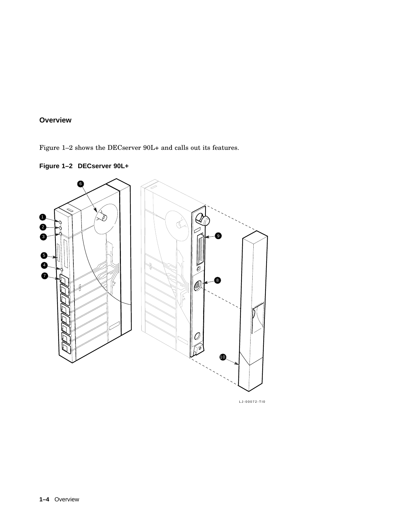Figure 1–2 shows the DECserver 90L+ and calls out its features.





LJ-00072-TI0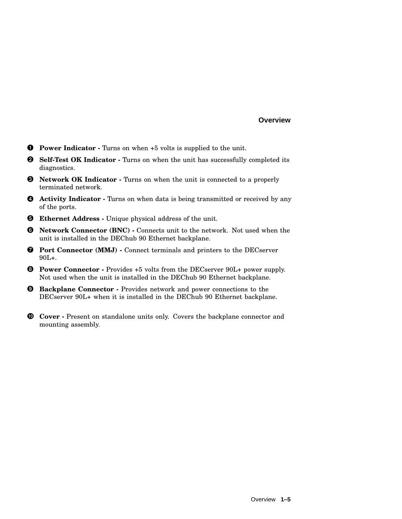- **Power Indicator -** Turns on when +5 volts is supplied to the unit.
- **Self-Test OK Indicator -** Turns on when the unit has successfully completed its diagnostics.
- **Network OK Indicator -** Turns on when the unit is connected to a properly terminated network.
- **Activity Indicator -** Turns on when data is being transmitted or received by any of the ports.
- **Ethernet Address -** Unique physical address of the unit.
- **Network Connector (BNC) -** Connects unit to the network. Not used when the unit is installed in the DEChub 90 Ethernet backplane.
- **Port Connector (MMJ) -** Connect terminals and printers to the DECserver 90L+.
- **Power Connector -** Provides +5 volts from the DECserver 90L+ power supply. Not used when the unit is installed in the DEChub 90 Ethernet backplane.
- **Backplane Connector -** Provides network and power connections to the DECserver 90L+ when it is installed in the DEChub 90 Ethernet backplane.
- **Cover -** Present on standalone units only. Covers the backplane connector and mounting assembly.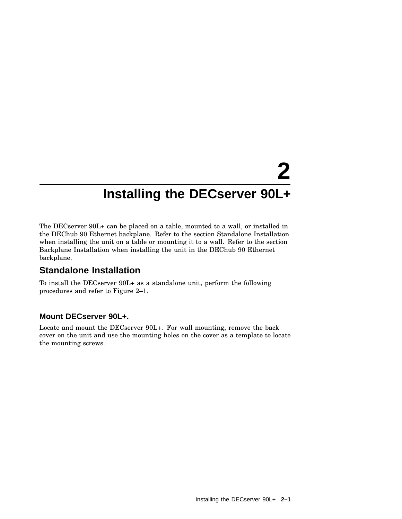The DECserver 90L+ can be placed on a table, mounted to a wall, or installed in the DEChub 90 Ethernet backplane. Refer to the section Standalone Installation when installing the unit on a table or mounting it to a wall. Refer to the section Backplane Installation when installing the unit in the DEChub 90 Ethernet backplane.

## **Standalone Installation**

To install the DECserver 90L+ as a standalone unit, perform the following procedures and refer to Figure 2–1.

#### **Mount DECserver 90L+.**

Locate and mount the DECserver 90L+. For wall mounting, remove the back cover on the unit and use the mounting holes on the cover as a template to locate the mounting screws.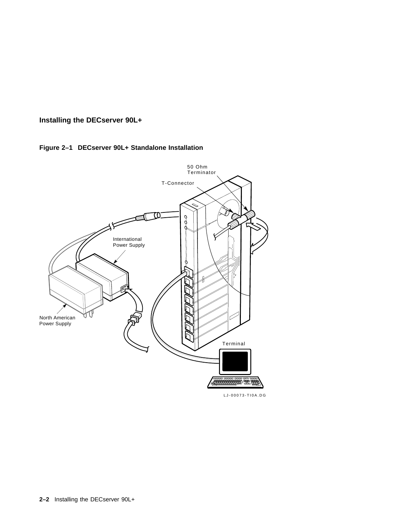#### **Figure 2–1 DECserver 90L+ Standalone Installation**



LJ-00073-TI0A.DG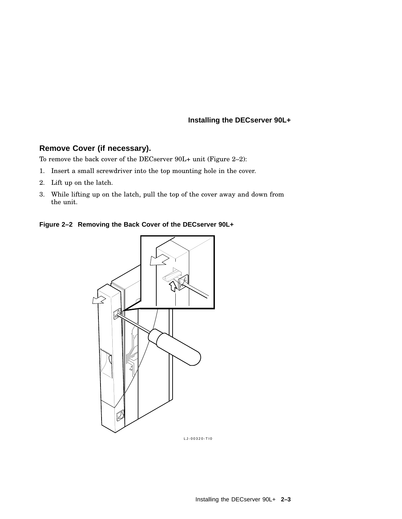#### **Remove Cover (if necessary).**

To remove the back cover of the DECserver 90L+ unit (Figure 2–2):

- 1. Insert a small screwdriver into the top mounting hole in the cover.
- 2. Lift up on the latch.
- 3. While lifting up on the latch, pull the top of the cover away and down from the unit.

**Figure 2–2 Removing the Back Cover of the DECserver 90L+**



LJ-00320-TI0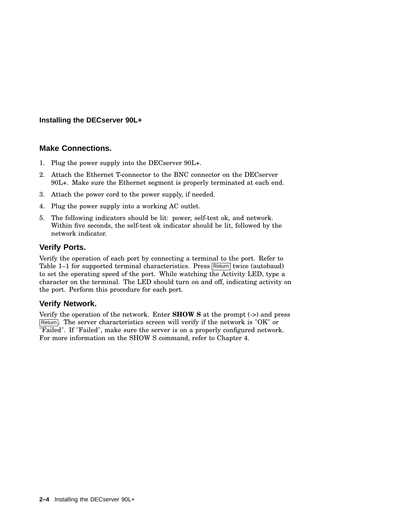#### **Make Connections.**

- 1. Plug the power supply into the DECserver 90L+.
- 2. Attach the Ethernet T-connector to the BNC connector on the DECserver 90L+. Make sure the Ethernet segment is properly terminated at each end.
- 3. Attach the power cord to the power supply, if needed.
- 4. Plug the power supply into a working AC outlet.
- 5. The following indicators should be lit: power, self-test ok, and network. Within five seconds, the self-test ok indicator should be lit, followed by the network indicator.

#### **Verify Ports.**

Verify the operation of each port by connecting a terminal to the port. Refer to Table 1–1 for supported terminal characteristics. Press Return twice (autobaud) to set the operating speed of the port. While watching the Activity LED, type a character on the terminal. The LED should turn on and off, indicating activity on the port. Perform this procedure for each port.

#### **Verify Network.**

Verify the operation of the network. Enter **SHOW S** at the prompt (->) and press Return. The server characteristics screen will verify if the network is "OK" or "Failed". If "Failed", make sure the server is on a properly configured network. For more information on the SHOW S command, refer to Chapter 4.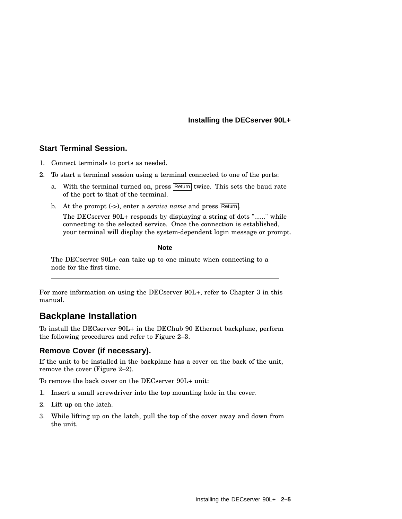#### **Start Terminal Session.**

- 1. Connect terminals to ports as needed.
- 2. To start a terminal session using a terminal connected to one of the ports:
	- a. With the terminal turned on, press Return twice. This sets the baud rate of the port to that of the terminal.
	- b. At the prompt (->), enter a *service name* and press Return. The DECserver 90L+ responds by displaying a string of dots "......" while connecting to the selected service. Once the connection is established, your terminal will display the system-dependent login message or prompt.
		- **Note**

The DECserver 90L+ can take up to one minute when connecting to a node for the first time.

For more information on using the DECserver 90L+, refer to Chapter 3 in this manual.

## **Backplane Installation**

To install the DECserver 90L+ in the DEChub 90 Ethernet backplane, perform the following procedures and refer to Figure 2–3.

#### **Remove Cover (if necessary).**

If the unit to be installed in the backplane has a cover on the back of the unit, remove the cover (Figure 2–2).

To remove the back cover on the DECserver 90L+ unit:

- 1. Insert a small screwdriver into the top mounting hole in the cover.
- 2. Lift up on the latch.
- 3. While lifting up on the latch, pull the top of the cover away and down from the unit.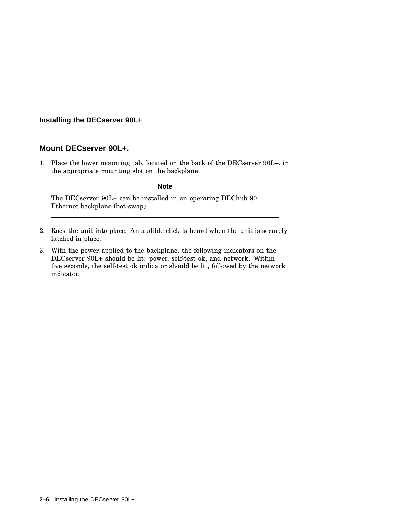#### **Mount DECserver 90L+.**

1. Place the lower mounting tab, located on the back of the DECserver 90L+, in the appropriate mounting slot on the backplane.

**Note** \_\_\_\_\_\_\_\_

The DECserver 90L+ can be installed in an operating DEChub 90 Ethernet backplane (hot-swap).

- 2. Rock the unit into place. An audible click is heard when the unit is securely latched in place.
- 3. With the power applied to the backplane, the following indicators on the DECserver 90L+ should be lit: power, self-test ok, and network. Within five seconds, the self-test ok indicator should be lit, followed by the network indicator.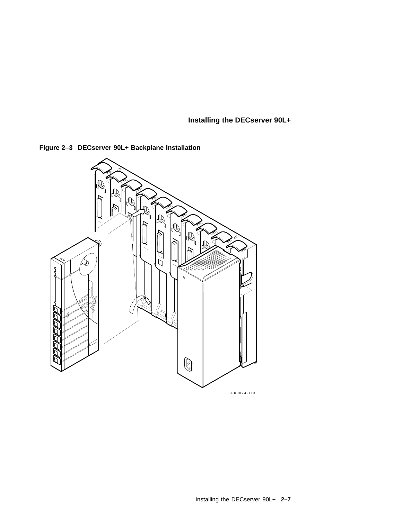

**Figure 2–3 DECserver 90L+ Backplane Installation**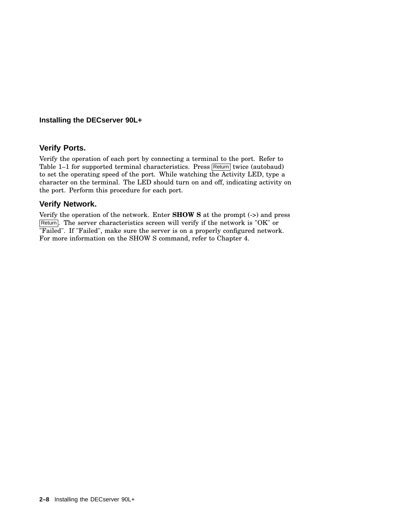#### **Verify Ports.**

Verify the operation of each port by connecting a terminal to the port. Refer to Table  $1-1$  for supported terminal characteristics. Press  $\sqrt{\text{Return}}$  twice (autobaud) to set the operating speed of the port. While watching the Activity LED, type a character on the terminal. The LED should turn on and off, indicating activity on the port. Perform this procedure for each port.

#### **Verify Network.**

Verify the operation of the network. Enter **SHOW S** at the prompt (->) and press Return. The server characteristics screen will verify if the network is "OK" or "Failed". If "Failed", make sure the server is on a properly configured network. For more information on the SHOW S command, refer to Chapter 4.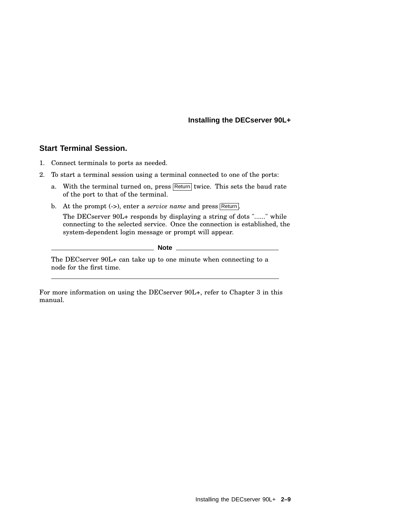#### **Start Terminal Session.**

- 1. Connect terminals to ports as needed.
- 2. To start a terminal session using a terminal connected to one of the ports:
	- a. With the terminal turned on, press  $\sqrt{\text{Return}}$  twice. This sets the baud rate of the port to that of the terminal.
	- b. At the prompt (->), enter a *service name* and press Return. The DECserver 90L+ responds by displaying a string of dots "......" while connecting to the selected service. Once the connection is established, the system-dependent login message or prompt will appear.

**Note**

The DECserver 90L+ can take up to one minute when connecting to a node for the first time.

For more information on using the DECserver 90L+, refer to Chapter 3 in this manual.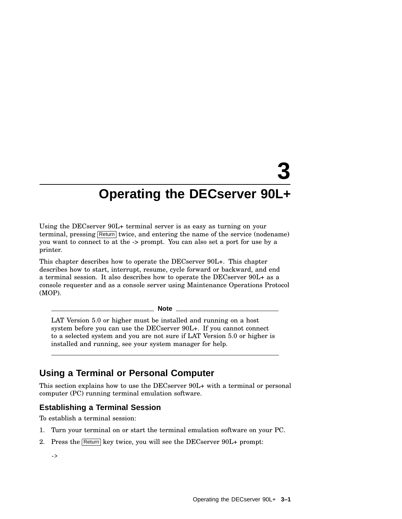Using the DECserver 90L+ terminal server is as easy as turning on your terminal, pressing Return twice, and entering the name of the service (nodename) you want to connect to at the -> prompt. You can also set a port for use by a printer.

This chapter describes how to operate the DECserver 90L+. This chapter describes how to start, interrupt, resume, cycle forward or backward, and end a terminal session. It also describes how to operate the DECserver 90L+ as a console requester and as a console server using Maintenance Operations Protocol (MOP).

**Note**

LAT Version 5.0 or higher must be installed and running on a host system before you can use the DECserver 90L+. If you cannot connect to a selected system and you are not sure if LAT Version 5.0 or higher is installed and running, see your system manager for help.

## **Using a Terminal or Personal Computer**

This section explains how to use the DECserver 90L+ with a terminal or personal computer (PC) running terminal emulation software.

#### **Establishing a Terminal Session**

To establish a terminal session:

- 1. Turn your terminal on or start the terminal emulation software on your PC.
- 2. Press the Return key twice, you will see the DECserver 90L+ prompt:

->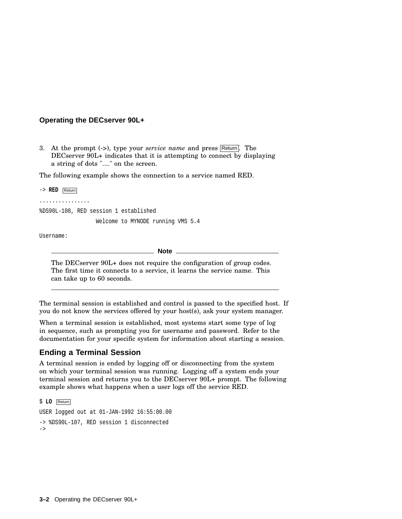3. At the prompt (->), type your *service name* and press Return. The DECserver 90L+ indicates that it is attempting to connect by displaying a string of dots "...." on the screen.

The following example shows the connection to a service named RED.

-> **RED** Return ................ %DS90L-108, RED session 1 established Welcome to MYNODE running VMS 5.4 Username:

**Note**

The DECserver 90L+ does not require the configuration of group codes. The first time it connects to a service, it learns the service name. This can take up to 60 seconds.

The terminal session is established and control is passed to the specified host. If you do not know the services offered by your host(s), ask your system manager.

When a terminal session is established, most systems start some type of log in sequence, such as prompting you for username and password. Refer to the documentation for your specific system for information about starting a session.

#### **Ending a Terminal Session**

A terminal session is ended by logging off or disconnecting from the system on which your terminal session was running. Logging off a system ends your terminal session and returns you to the DECserver 90L+ prompt. The following example shows what happens when a user logs off the service RED.

```
$ LO Return
USER logged out at 01-JAN-1992 16:55:00.00
-> %DS90L-107, RED session 1 disconnected
->
```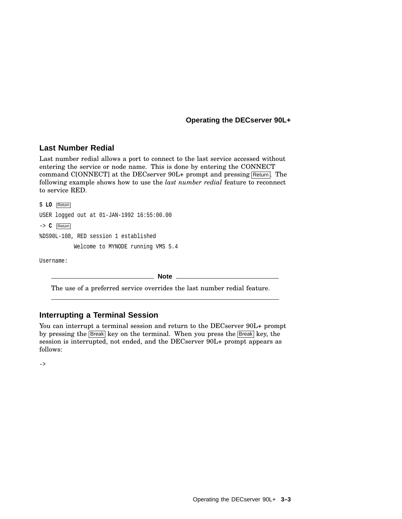#### **Last Number Redial**

Last number redial allows a port to connect to the last service accessed without entering the service or node name. This is done by entering the CONNECT command C[ONNECT] at the DECserver  $90L+$  prompt and pressing  $R$ eturn. The following example shows how to use the *last number redial* feature to reconnect to service RED.

\$ **LO** Return USER logged out at 01-JAN-1992 16:55:00.00 -> **C** Return %DS90L-108, RED session 1 established Welcome to MYNODE running VMS 5.4

Username:

**Note**

The use of a preferred service overrides the last number redial feature.

#### **Interrupting a Terminal Session**

You can interrupt a terminal session and return to the DECserver  $90L+$  prompt by pressing the Break key on the terminal. When you press the Break key, the session is interrupted, not ended, and the DECserver 90L+ prompt appears as follows:

->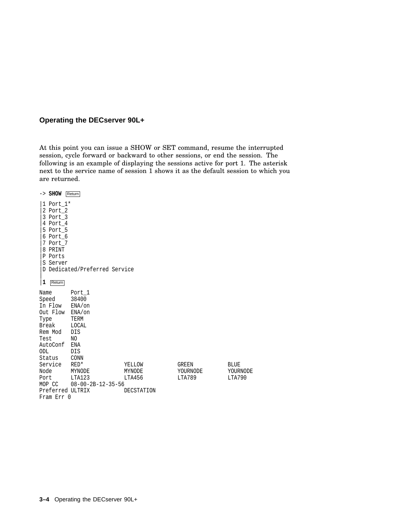At this point you can issue a SHOW or SET command, resume the interrupted session, cycle forward or backward to other sessions, or end the session. The following is an example of displaying the sessions active for port 1. The asterisk next to the service name of session 1 shows it as the default session to which you are returned.

| -> SHOW Return                                                                                                          |                                                               |            |          |             |
|-------------------------------------------------------------------------------------------------------------------------|---------------------------------------------------------------|------------|----------|-------------|
| 1 Port 1*<br>2 Port 2<br>3 Port 3<br>4 Port 4<br>5 Port 5<br>6 Port 6<br>7 Port 7<br>8 PRINT<br>P Ports<br>S Server     | D Dedicated/Preferred Service                                 |            |          |             |
| 1<br>Return                                                                                                             |                                                               |            |          |             |
| Name<br>Speed<br>In Flow ENA/on<br>Out Flow ENA/on<br>Type<br>Break<br>Rem Mod<br>Test<br>AutoConf ENA<br>ODL<br>Status | Port 1<br>38400<br>TERM<br>LOCAL<br>DIS<br>NO.<br>DIS<br>CONN |            |          |             |
| Service                                                                                                                 | $RED*$                                                        | YELLOW     | GREEN    | <b>BLUE</b> |
| Node                                                                                                                    | MYNODE                                                        | MYNODE     | YOURNODE | YOURNODE    |
| Port                                                                                                                    | LTA123                                                        | LTA456     | LTA789   | LTA790      |
| MOP CC                                                                                                                  | $08 - 00 - 2B - 12 - 35 - 56$                                 |            |          |             |
| Preferred ULTRIX                                                                                                        |                                                               | DECSTATION |          |             |
| Fram Err 0                                                                                                              |                                                               |            |          |             |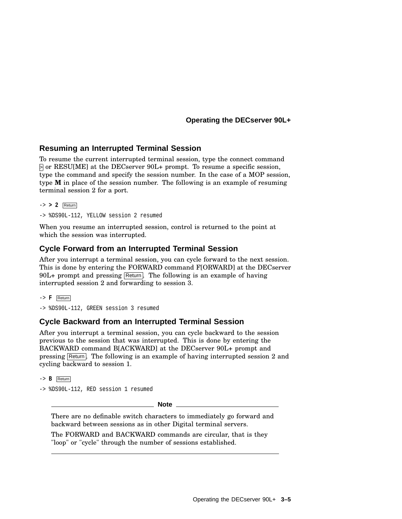#### **Resuming an Interrupted Terminal Session**

To resume the current interrupted terminal session, type the connect command > or RESU[ME] at the DECserver 90L+ prompt. To resume a specific session, type the command and specify the session number. In the case of a MOP session, type **M** in place of the session number. The following is an example of resuming terminal session 2 for a port.

-> **> 2** Return

-> %DS90L-112, YELLOW session 2 resumed

When you resume an interrupted session, control is returned to the point at which the session was interrupted.

#### **Cycle Forward from an Interrupted Terminal Session**

After you interrupt a terminal session, you can cycle forward to the next session. This is done by entering the FORWARD command F[ORWARD] at the DECserver  $90L+$  prompt and pressing Return. The following is an example of having interrupted session 2 and forwarding to session 3.

```
-> F Return
```
-> %DS90L-112, GREEN session 3 resumed

#### **Cycle Backward from an Interrupted Terminal Session**

After you interrupt a terminal session, you can cycle backward to the session previous to the session that was interrupted. This is done by entering the BACKWARD command B[ACKWARD] at the DECserver 90L+ prompt and pressing Return. The following is an example of having interrupted session 2 and cycling backward to session 1.

-> **B** Return

-> %DS90L-112, RED session 1 resumed

**Note**

There are no definable switch characters to immediately go forward and backward between sessions as in other Digital terminal servers.

The FORWARD and BACKWARD commands are circular, that is they "loop" or "cycle" through the number of sessions established.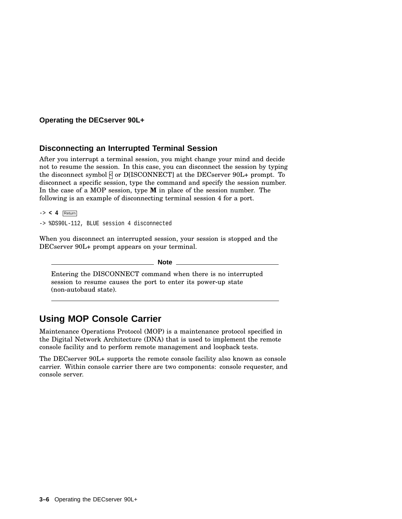#### **Disconnecting an Interrupted Terminal Session**

After you interrupt a terminal session, you might change your mind and decide not to resume the session. In this case, you can disconnect the session by typing the disconnect symbol  $\overline{A}$  or D[ISCONNECT] at the DECserver 90L+ prompt. To disconnect a specific session, type the command and specify the session number. In the case of a MOP session, type **M** in place of the session number. The following is an example of disconnecting terminal session 4 for a port.

-> **< 4** Return

-> %DS90L-112, BLUE session 4 disconnected

When you disconnect an interrupted session, your session is stopped and the DECserver 90L+ prompt appears on your terminal.

**Note**

Entering the DISCONNECT command when there is no interrupted session to resume causes the port to enter its power-up state (non-autobaud state).

## **Using MOP Console Carrier**

Maintenance Operations Protocol (MOP) is a maintenance protocol specified in the Digital Network Architecture (DNA) that is used to implement the remote console facility and to perform remote management and loopback tests.

The DECserver 90L+ supports the remote console facility also known as console carrier. Within console carrier there are two components: console requester, and console server.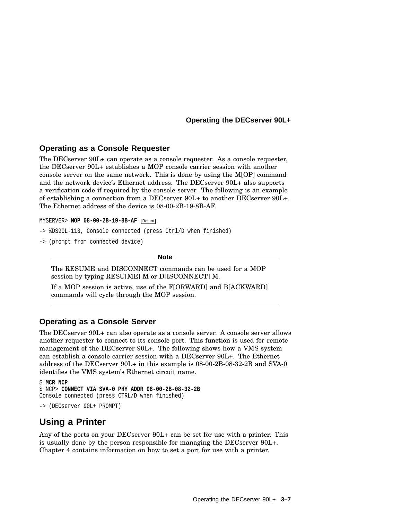#### **Operating as a Console Requester**

The DECserver 90L+ can operate as a console requester. As a console requester, the DECserver 90L+ establishes a MOP console carrier session with another console server on the same network. This is done by using the M[OP] command and the network device's Ethernet address. The DECserver 90L+ also supports a verification code if required by the console server. The following is an example of establishing a connection from a DECserver 90L+ to another DECserver 90L+. The Ethernet address of the device is 08-00-2B-19-8B-AF.

MYSERVER> **MOP 08-00-2B-19-8B-AF** Return

- -> %DS90L-113, Console connected (press Ctrl/D when finished)
- -> (prompt from connected device)

**Note**

The RESUME and DISCONNECT commands can be used for a MOP session by typing RESU[ME] M or D[ISCONNECT] M.

If a MOP session is active, use of the F[ORWARD] and B[ACKWARD] commands will cycle through the MOP session.

#### **Operating as a Console Server**

The DECserver 90L+ can also operate as a console server. A console server allows another requester to connect to its console port. This function is used for remote management of the DECserver 90L+. The following shows how a VMS system can establish a console carrier session with a DECserver 90L+. The Ethernet address of the DECserver 90L+ in this example is 08-00-2B-08-32-2B and SVA-0 identifies the VMS system's Ethernet circuit name.

```
$ MCR NCP
$ NCP> CONNECT VIA SVA-0 PHY ADDR 08-00-2B-08-32-2B
Console connected (press CTRL/D when finished)
-> (DECserver 90L+ PROMPT)
```
## **Using a Printer**

Any of the ports on your DECserver 90L+ can be set for use with a printer. This is usually done by the person responsible for managing the DECserver 90L+. Chapter 4 contains information on how to set a port for use with a printer.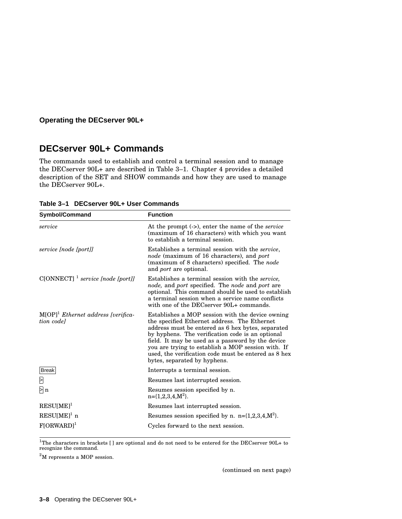## **DECserver 90L+ Commands**

The commands used to establish and control a terminal session and to manage the DECserver 90L+ are described in Table 3–1. Chapter 4 provides a detailed description of the SET and SHOW commands and how they are used to manage the DECserver 90L+.

| <b>Symbol/Command</b>                               | <b>Function</b>                                                                                                                                                                                                                                                                                                                                                                                              |
|-----------------------------------------------------|--------------------------------------------------------------------------------------------------------------------------------------------------------------------------------------------------------------------------------------------------------------------------------------------------------------------------------------------------------------------------------------------------------------|
| service                                             | At the prompt (->), enter the name of the <i>service</i><br>(maximum of 16 characters) with which you want<br>to establish a terminal session.                                                                                                                                                                                                                                                               |
| service [node [port]]                               | Establishes a terminal session with the service,<br>node (maximum of 16 characters), and port<br>(maximum of 8 characters) specified. The <i>node</i><br>and <i>port</i> are optional.                                                                                                                                                                                                                       |
| $C[ONNECT]$ <sup>1</sup> service [node [port]]      | Establishes a terminal session with the <i>service</i> ,<br><i>node</i> , and <i>port</i> specified. The <i>node</i> and <i>port</i> are<br>optional. This command should be used to establish<br>a terminal session when a service name conflicts<br>with one of the DECserver 90L+ commands.                                                                                                               |
| $M[OP]^1$ Ethernet address [verifica-<br>tion codel | Establishes a MOP session with the device owning<br>the specified Ethernet address. The Ethernet<br>address must be entered as 6 hex bytes, separated<br>by hyphens. The verification code is an optional<br>field. It may be used as a password by the device<br>you are trying to establish a MOP session with. If<br>used, the verification code must be entered as 8 hex<br>bytes, separated by hyphens. |
| <b>Break</b>                                        | Interrupts a terminal session.                                                                                                                                                                                                                                                                                                                                                                               |
| Σ                                                   | Resumes last interrupted session.                                                                                                                                                                                                                                                                                                                                                                            |
| $\mathsf{b}$ n                                      | Resumes session specified by n.<br>$n = \{1, 2, 3, 4, M^2\}.$                                                                                                                                                                                                                                                                                                                                                |
| $RESU[ME]$ <sup>1</sup>                             | Resumes last interrupted session.                                                                                                                                                                                                                                                                                                                                                                            |
| $RESU[ME]$ <sup>1</sup> n                           | Resumes session specified by n. $n=[1,2,3,4,M^2]$ .                                                                                                                                                                                                                                                                                                                                                          |
| $F[ORWARD]$ <sup>1</sup>                            | Cycles forward to the next session.                                                                                                                                                                                                                                                                                                                                                                          |

**Table 3–1 DECserver 90L+ User Commands**

 $1$ The characters in brackets [] are optional and do not need to be entered for the DECserver 90L+ to recognize the command.

<sup>2</sup>M represents a MOP session.

(continued on next page)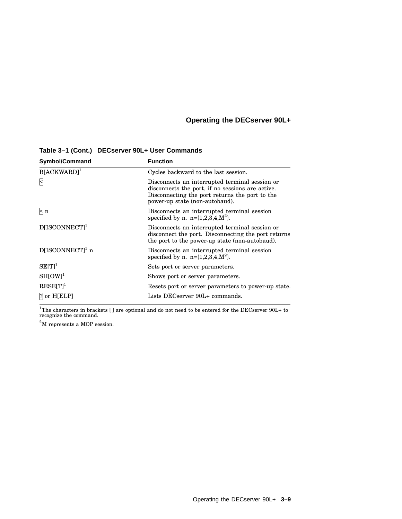| <b>Symbol/Command</b>       | <b>Function</b>                                                                                                                                                                        |
|-----------------------------|----------------------------------------------------------------------------------------------------------------------------------------------------------------------------------------|
| $B[ACKWARD]$ <sup>1</sup>   | Cycles backward to the last session.                                                                                                                                                   |
| Β                           | Disconnects an interrupted terminal session or<br>disconnects the port, if no sessions are active.<br>Disconnecting the port returns the port to the<br>power-up state (non-autobaud). |
| $\mathsf{R}$ n              | Disconnects an interrupted terminal session<br>specified by n. n= $\{1,2,3,4,M^2\}$ .                                                                                                  |
| $D[ISCONNECT]$ <sup>1</sup> | Disconnects an interrupted terminal session or<br>disconnect the port. Disconnecting the port returns<br>the port to the power-up state (non-autobaud).                                |
| $D[ISCONNECT]1$ n           | Disconnects an interrupted terminal session<br>specified by n. n= $\{1,2,3,4,M^2\}$ .                                                                                                  |
| $SE[T]$ <sup>1</sup>        | Sets port or server parameters.                                                                                                                                                        |
| $SH[OW]$ <sup>1</sup>       | Shows port or server parameters.                                                                                                                                                       |
| $RESE[T]$ <sup>1</sup>      | Resets port or server parameters to power-up state.                                                                                                                                    |
| ? or H[ELP]                 | Lists DECserver 90L+ commands.                                                                                                                                                         |

**Table 3–1 (Cont.) DECserver 90L+ User Commands**

 $^{1}$ The characters in brackets [] are optional and do not need to be entered for the DECserver 90L+ to recognize the command.

 $2<sup>2</sup>M$  represents a MOP session.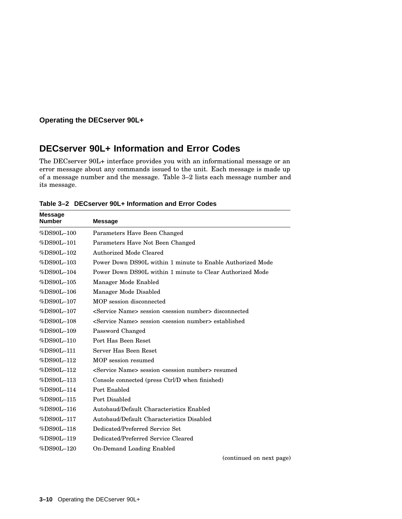## **DECserver 90L+ Information and Error Codes**

The DECserver 90L+ interface provides you with an informational message or an error message about any commands issued to the unit. Each message is made up of a message number and the message. Table 3–2 lists each message number and its message.

| <b>Message</b><br>Number | <b>Message</b>                                                                 |
|--------------------------|--------------------------------------------------------------------------------|
| $%DS90L-100$             | Parameters Have Been Changed                                                   |
| %DS90L-101               | Parameters Have Not Been Changed                                               |
| %DS90L-102               | Authorized Mode Cleared                                                        |
| $%DS90L-103$             | Power Down DS90L within 1 minute to Enable Authorized Mode                     |
| %DS90L-104               | Power Down DS90L within 1 minute to Clear Authorized Mode                      |
| $%DS90L-105$             | Manager Mode Enabled                                                           |
| %DS90L-106               | Manager Mode Disabled                                                          |
| %DS90L-107               | MOP session disconnected                                                       |
| $%DS90L-107$             | <service name=""> session <session number=""> disconnected</session></service> |
| %DS90L-108               | <service name=""> session <session number=""> established</session></service>  |
| %DS90L-109               | Password Changed                                                               |
| %DS90L-110               | Port Has Been Reset                                                            |
| %DS90L-111               | Server Has Been Reset                                                          |
| %DS90L-112               | MOP session resumed                                                            |
| %DS90L-112               | <service name=""> session <session number=""> resumed</session></service>      |
| %DS90L-113               | Console connected (press Ctrl/D when finished)                                 |
| %DS90L-114               | Port Enabled                                                                   |
| %DS90L-115               | Port Disabled                                                                  |
| %DS90L-116               | Autobaud/Default Characteristics Enabled                                       |
| %DS90L-117               | Autobaud/Default Characteristics Disabled                                      |
| %DS90L-118               | Dedicated/Preferred Service Set                                                |
| %DS90L-119               | Dedicated/Preferred Service Cleared                                            |
| %DS90L-120               | On-Demand Loading Enabled                                                      |
|                          | (continued on next page)                                                       |

**Table 3–2 DECserver 90L+ Information and Error Codes**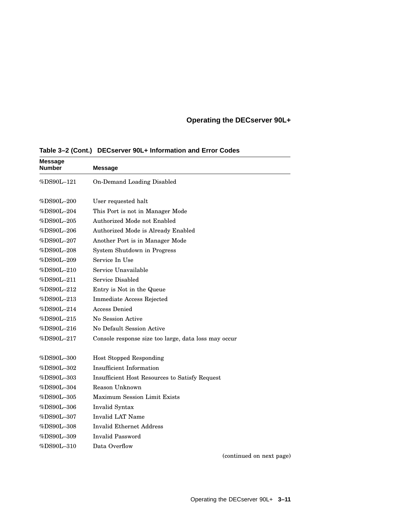| <b>Message</b><br>Number                         | <b>Message</b>                                       |
|--------------------------------------------------|------------------------------------------------------|
| %DS90L-121                                       | On-Demand Loading Disabled                           |
| %DS90L-200                                       | User requested halt                                  |
| %DS90L-204                                       | This Port is not in Manager Mode                     |
| %DS90L-205                                       | Authorized Mode not Enabled                          |
| %DS90L-206                                       | Authorized Mode is Already Enabled                   |
| %DS90L-207                                       | Another Port is in Manager Mode                      |
| $\%\mathrm{D}\mathrm{S}90\mathrm{L}{-}208$       | System Shutdown in Progress                          |
| %DS90L-209                                       | Service In Use                                       |
| %DS90L-210                                       | Service Unavailable                                  |
| %DS90L-211                                       | Service Disabled                                     |
| %DS90L-212                                       | Entry is Not in the Queue                            |
| %DS90L-213                                       | <b>Immediate Access Rejected</b>                     |
| %DS90L–214                                       | Access Denied                                        |
| %DS90L-215                                       | No Session Active                                    |
| $\%\mathrm{D}\mathrm{S}90\mathrm{L}\text{--}216$ | No Default Session Active                            |
| %DS90L-217                                       | Console response size too large, data loss may occur |
| %DS90L-300                                       | <b>Host Stopped Responding</b>                       |
| %DS90L-302                                       | Insufficient Information                             |
| %DS90L-303                                       | Insufficient Host Resources to Satisfy Request       |
| %DS90L-304                                       | Reason Unknown                                       |
| %DS90L-305                                       | <b>Maximum Session Limit Exists</b>                  |
| $\%\textrm{D}\textrm{S}90\textrm{L}-306$         | Invalid Syntax                                       |
| %DS90L-307                                       | Invalid LAT Name                                     |
| $\%\mathrm{D}\mathrm{S}90\mathrm{L}\text{--}308$ | <b>Invalid Ethernet Address</b>                      |
| %DS90L-309                                       | Invalid Password                                     |
| %DS90L–310                                       | Data Overflow                                        |

**Table 3–2 (Cont.) DECserver 90L+ Information and Error Codes**

(continued on next page)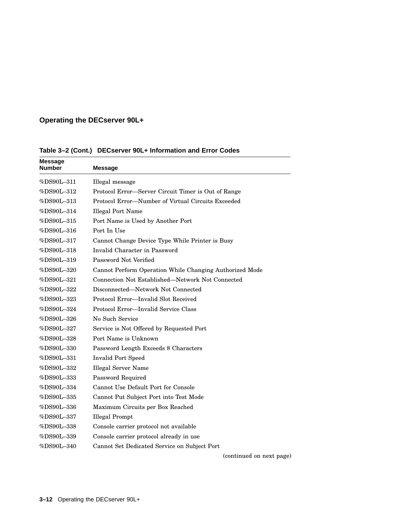| <b>Message</b><br><b>Number</b>                  | <b>Message</b>                                          |
|--------------------------------------------------|---------------------------------------------------------|
| %DS90L–311                                       | Illegal message                                         |
| %DS90L-312                                       | Protocol Error-Server Circuit Timer is Out of Range     |
| %DS90L-313                                       | Protocol Error—Number of Virtual Circuits Exceeded      |
| %DS90L-314                                       | <b>Illegal Port Name</b>                                |
| %DS90L-315                                       | Port Name is Used by Another Port                       |
| %DS90L-316                                       | Port In Use                                             |
| %DS90L-317                                       | Cannot Change Device Type While Printer is Busy         |
| %DS90L-318                                       | Invalid Character in Password                           |
| %DS90L-319                                       | Password Not Verified                                   |
| %DS90L-320                                       | Cannot Perform Operation While Changing Authorized Mode |
| %DS90L-321                                       | Connection Not Established—Network Not Connected        |
| %DS90L–322                                       | Disconnected—Network Not Connected                      |
| %DS90L-323                                       | Protocol Error—Invalid Slot Received                    |
| %DS90L-324                                       | Protocol Error-Invalid Service Class                    |
| %DS90L-326                                       | No Such Service                                         |
| %DS90L-327                                       | Service is Not Offered by Requested Port                |
| %DS90L-328                                       | Port Name is Unknown                                    |
| %DS90L-330                                       | Password Length Exceeds 8 Characters                    |
| %DS90L-331                                       | <b>Invalid Port Speed</b>                               |
| %DS90L-332                                       | <b>Illegal Server Name</b>                              |
| %DS90L-333                                       | Password Required                                       |
| %DS90L-334                                       | Cannot Use Default Port for Console                     |
| %DS90L-335                                       | Cannot Put Subject Port into Test Mode                  |
| $\%\mathrm{D}\mathrm{S}90\mathrm{L}\text{--}336$ | Maximum Circuits per Box Reached                        |
| $\%\mathrm{D}\mathrm{S}90\mathrm{L}\text{--}337$ | <b>Illegal Prompt</b>                                   |
| $\%\mathrm{D}\mathrm{S}90\mathrm{L}\text{--}338$ | Console carrier protocol not available                  |
| %DS90L-339                                       | Console carrier protocol already in use                 |
| %DS90L-340                                       | Cannot Set Dedicated Service on Subject Port            |
|                                                  |                                                         |

**Table 3–2 (Cont.) DECserver 90L+ Information and Error Codes**

(continued on next page)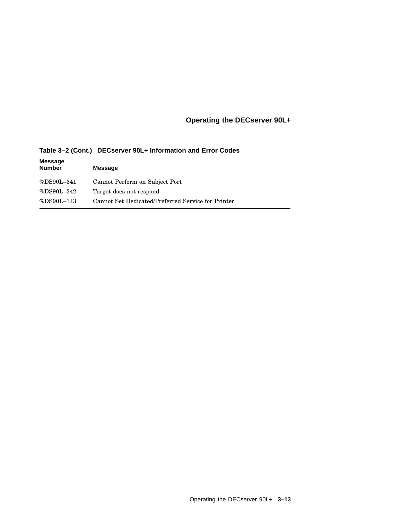## **Operating the DECserver 90L+**

| <b>Message</b><br><b>Number</b> | <b>Message</b>                                     |
|---------------------------------|----------------------------------------------------|
| $%DS90L-341$                    | Cannot Perform on Subject Port                     |
| %DS90L-342                      | Target does not respond                            |
| $%DS90L-343$                    | Cannot Set Dedicated/Preferred Service for Printer |

**Table 3–2 (Cont.) DECserver 90L+ Information and Error Codes**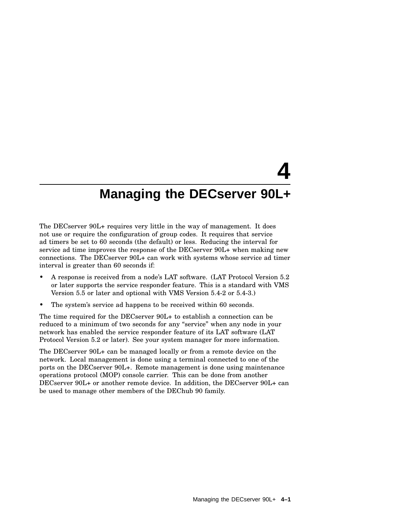The DECserver 90L+ requires very little in the way of management. It does not use or require the configuration of group codes. It requires that service ad timers be set to 60 seconds (the default) or less. Reducing the interval for service ad time improves the response of the DECserver 90L+ when making new connections. The DECserver 90L+ can work with systems whose service ad timer interval is greater than 60 seconds if:

- A response is received from a node's LAT software. (LAT Protocol Version 5.2 or later supports the service responder feature. This is a standard with VMS Version 5.5 or later and optional with VMS Version 5.4-2 or 5.4-3.)
- The system's service ad happens to be received within 60 seconds.

The time required for the DECserver 90L+ to establish a connection can be reduced to a minimum of two seconds for any "service" when any node in your network has enabled the service responder feature of its LAT software (LAT Protocol Version 5.2 or later). See your system manager for more information.

The DECserver 90L+ can be managed locally or from a remote device on the network. Local management is done using a terminal connected to one of the ports on the DECserver 90L+. Remote management is done using maintenance operations protocol (MOP) console carrier. This can be done from another DECserver 90L+ or another remote device. In addition, the DECserver 90L+ can be used to manage other members of the DEChub 90 family.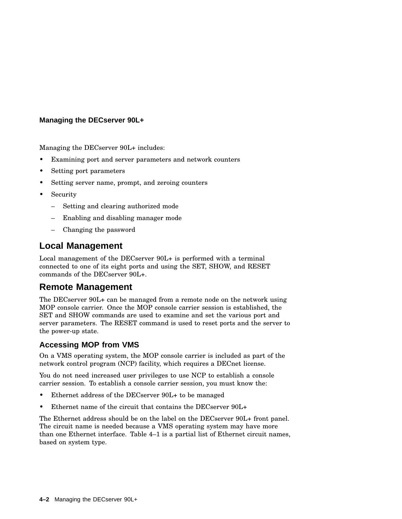Managing the DECserver 90L+ includes:

- Examining port and server parameters and network counters
- Setting port parameters
- Setting server name, prompt, and zeroing counters
- Security
	- Setting and clearing authorized mode
	- Enabling and disabling manager mode
	- Changing the password

## **Local Management**

Local management of the DECserver 90L+ is performed with a terminal connected to one of its eight ports and using the SET, SHOW, and RESET commands of the DECserver 90L+.

## **Remote Management**

The DECserver 90L+ can be managed from a remote node on the network using MOP console carrier. Once the MOP console carrier session is established, the SET and SHOW commands are used to examine and set the various port and server parameters. The RESET command is used to reset ports and the server to the power-up state.

## **Accessing MOP from VMS**

On a VMS operating system, the MOP console carrier is included as part of the network control program (NCP) facility, which requires a DECnet license.

You do not need increased user privileges to use NCP to establish a console carrier session. To establish a console carrier session, you must know the:

- Ethernet address of the DECserver 90L+ to be managed
- Ethernet name of the circuit that contains the DECserver 90L+

The Ethernet address should be on the label on the DECserver 90L+ front panel. The circuit name is needed because a VMS operating system may have more than one Ethernet interface. Table 4–1 is a partial list of Ethernet circuit names, based on system type.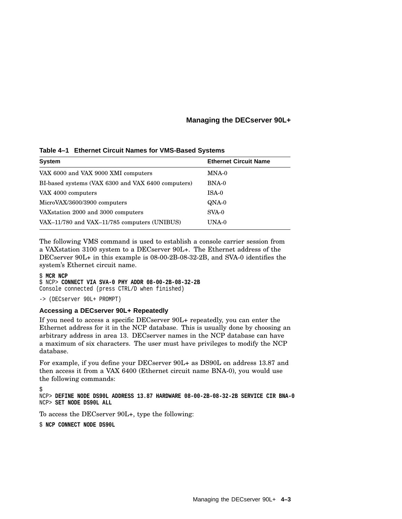|  | Table 4–1 Ethernet Circuit Names for VMS-Based Systems |  |  |  |
|--|--------------------------------------------------------|--|--|--|
|--|--------------------------------------------------------|--|--|--|

| <b>System</b>                                      | <b>Ethernet Circuit Name</b> |
|----------------------------------------------------|------------------------------|
| VAX 6000 and VAX 9000 XMI computers                | MNA-0                        |
| BI-based systems (VAX 6300 and VAX 6400 computers) | $BNA-0$                      |
| VAX 4000 computers                                 | $ISA-0$                      |
| MicroVAX/3600/3900 computers                       | QNA-0                        |
| VAX station 2000 and 3000 computers                | $SVA-0$                      |
| VAX-11/780 and VAX-11/785 computers (UNIBUS)       | UNA-0                        |

The following VMS command is used to establish a console carrier session from a VAXstation 3100 system to a DECserver 90L+. The Ethernet address of the DECserver 90L+ in this example is 08-00-2B-08-32-2B, and SVA-0 identifies the system's Ethernet circuit name.

#### \$ **MCR NCP**

\$ NCP> **CONNECT VIA SVA-0 PHY ADDR 08-00-2B-08-32-2B** Console connected (press CTRL/D when finished)

-> (DECserver 90L+ PROMPT)

#### **Accessing a DECserver 90L+ Repeatedly**

If you need to access a specific DECserver 90L+ repeatedly, you can enter the Ethernet address for it in the NCP database. This is usually done by choosing an arbitrary address in area 13. DECserver names in the NCP database can have a maximum of six characters. The user must have privileges to modify the NCP database.

For example, if you define your DECserver 90L+ as DS90L on address 13.87 and then access it from a VAX 6400 (Ethernet circuit name BNA-0), you would use the following commands:

\$

NCP> **DEFINE NODE DS90L ADDRESS 13.87 HARDWARE 08-00-2B-08-32-2B SERVICE CIR BNA-0** NCP> **SET NODE DS90L ALL**

To access the DECserver 90L+, type the following:

\$ **NCP CONNECT NODE DS90L**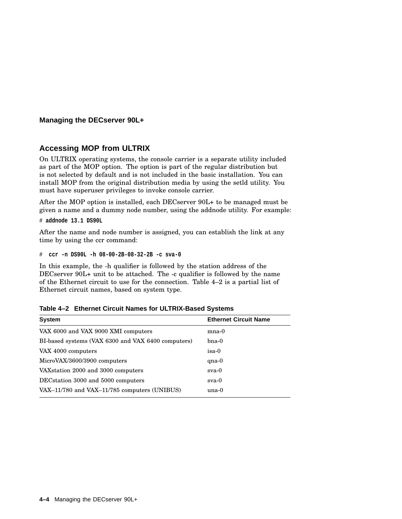## **Accessing MOP from ULTRIX**

On ULTRIX operating systems, the console carrier is a separate utility included as part of the MOP option. The option is part of the regular distribution but is not selected by default and is not included in the basic installation. You can install MOP from the original distribution media by using the setld utility. You must have superuser privileges to invoke console carrier.

After the MOP option is installed, each DECserver 90L+ to be managed must be given a name and a dummy node number, using the addnode utility. For example:

# **addnode 13.1 DS90L**

After the name and node number is assigned, you can establish the link at any time by using the ccr command:

# **ccr -n DS90L -h 08-00-2B-08-32-2B -c sva-0**

In this example, the -h qualifier is followed by the station address of the DECserver 90L+ unit to be attached. The -c qualifier is followed by the name of the Ethernet circuit to use for the connection. Table 4–2 is a partial list of Ethernet circuit names, based on system type.

| <b>System</b>                                      | <b>Ethernet Circuit Name</b> |  |  |
|----------------------------------------------------|------------------------------|--|--|
| VAX 6000 and VAX 9000 XMI computers                | $_{\rm mna-0}$               |  |  |
| BI-based systems (VAX 6300 and VAX 6400 computers) | $b$ na- $0$                  |  |  |
| VAX 4000 computers                                 | isa-0                        |  |  |
| MicroVAX/3600/3900 computers                       | $qna-0$                      |  |  |
| VAX station 2000 and 3000 computers                | $sva-0$                      |  |  |
| DEC station 3000 and 5000 computers                | $sva-0$                      |  |  |
| VAX-11/780 and VAX-11/785 computers (UNIBUS)       | $una-0$                      |  |  |
|                                                    |                              |  |  |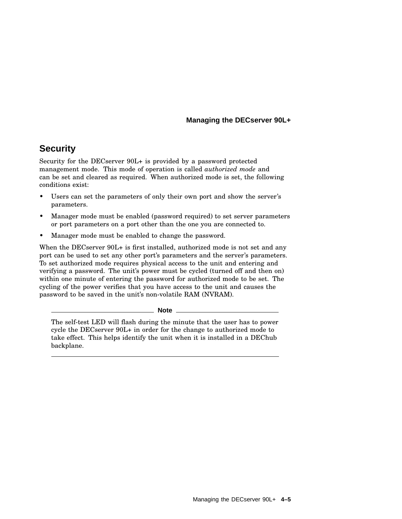## **Security**

Security for the DECserver 90L+ is provided by a password protected management mode. This mode of operation is called *authorized mode* and can be set and cleared as required. When authorized mode is set, the following conditions exist:

- Users can set the parameters of only their own port and show the server's parameters.
- Manager mode must be enabled (password required) to set server parameters or port parameters on a port other than the one you are connected to.
- Manager mode must be enabled to change the password.

When the DECserver 90L+ is first installed, authorized mode is not set and any port can be used to set any other port's parameters and the server's parameters. To set authorized mode requires physical access to the unit and entering and verifying a password. The unit's power must be cycled (turned off and then on) within one minute of entering the password for authorized mode to be set. The cycling of the power verifies that you have access to the unit and causes the password to be saved in the unit's non-volatile RAM (NVRAM).

**Note**

The self-test LED will flash during the minute that the user has to power cycle the DECserver 90L+ in order for the change to authorized mode to take effect. This helps identify the unit when it is installed in a DEChub backplane.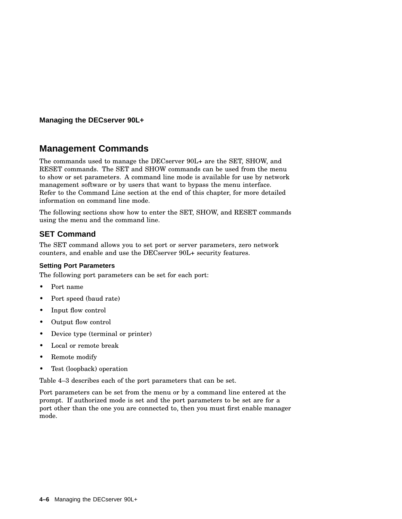## **Management Commands**

The commands used to manage the DECserver 90L+ are the SET, SHOW, and RESET commands. The SET and SHOW commands can be used from the menu to show or set parameters. A command line mode is available for use by network management software or by users that want to bypass the menu interface. Refer to the Command Line section at the end of this chapter, for more detailed information on command line mode.

The following sections show how to enter the SET, SHOW, and RESET commands using the menu and the command line.

## **SET Command**

The SET command allows you to set port or server parameters, zero network counters, and enable and use the DECserver 90L+ security features.

## **Setting Port Parameters**

The following port parameters can be set for each port:

- Port name
- Port speed (baud rate)
- Input flow control
- Output flow control
- Device type (terminal or printer)
- Local or remote break
- Remote modify
- Test (loopback) operation

Table 4–3 describes each of the port parameters that can be set.

Port parameters can be set from the menu or by a command line entered at the prompt. If authorized mode is set and the port parameters to be set are for a port other than the one you are connected to, then you must first enable manager mode.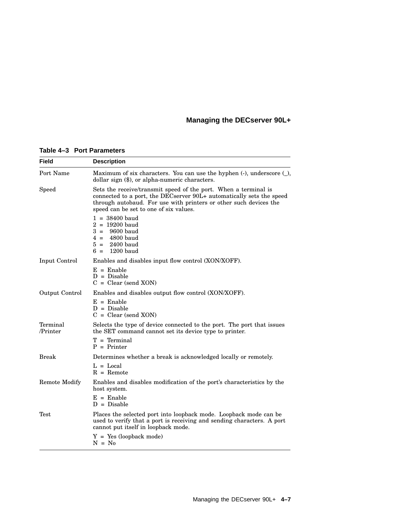|  | Table 4-3 Port Parameters |
|--|---------------------------|
|--|---------------------------|

| Field                | <b>Description</b>                                                                                                                                                                                                                                     |  |
|----------------------|--------------------------------------------------------------------------------------------------------------------------------------------------------------------------------------------------------------------------------------------------------|--|
| Port Name            | Maximum of six characters. You can use the hyphen $(-)$ , underscore $($<br>dollar sign (\$), or alpha-numeric characters.                                                                                                                             |  |
| Speed                | Sets the receive/transmit speed of the port. When a terminal is<br>connected to a port, the DECserver 90L+ automatically sets the speed<br>through autobaud. For use with printers or other such devices the<br>speed can be set to one of six values. |  |
|                      | $1 = 38400$ baud<br>$2 = 19200$ baud<br>9600 baud<br>$3 =$<br>$4 = 4800$ baud<br>$5 = 2400$ baud<br>$1200$ baud<br>$6 =$                                                                                                                               |  |
| Input Control        | Enables and disables input flow control (XON/XOFF).                                                                                                                                                                                                    |  |
|                      | $E =$ Enable<br>$D = Disable$<br>$C = Clear$ (send XON)                                                                                                                                                                                                |  |
| Output Control       | Enables and disables output flow control (XON/XOFF).                                                                                                                                                                                                   |  |
|                      | $E =$ Enable<br>$D = Disable$<br>$C = Clear$ (send XON)                                                                                                                                                                                                |  |
| Terminal<br>/Printer | Selects the type of device connected to the port. The port that issues<br>the SET command cannot set its device type to printer.                                                                                                                       |  |
|                      | $T = Terminal$<br>$P = Printer$                                                                                                                                                                                                                        |  |
| Break                | Determines whether a break is acknowledged locally or remotely.                                                                                                                                                                                        |  |
|                      | $L = Local$<br>$R =$ Remote                                                                                                                                                                                                                            |  |
| <b>Remote Modify</b> | Enables and disables modification of the port's characteristics by the<br>host system.                                                                                                                                                                 |  |
|                      | $E =$ Enable<br>$D = Disable$                                                                                                                                                                                                                          |  |
| Test                 | Places the selected port into loopback mode. Loopback mode can be<br>used to verify that a port is receiving and sending characters. A port<br>cannot put itself in loopback mode.                                                                     |  |
|                      | $Y = Yes (loopback mode)$<br>$N = No$                                                                                                                                                                                                                  |  |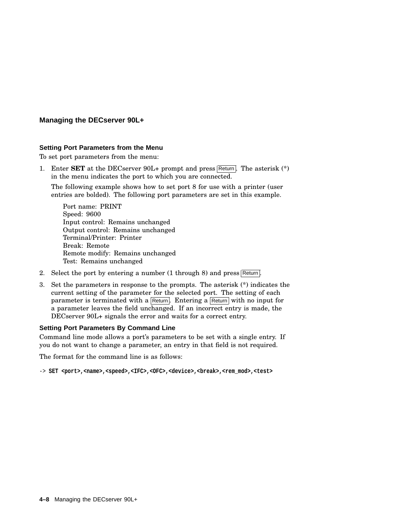#### **Setting Port Parameters from the Menu**

To set port parameters from the menu:

1. Enter **SET** at the DECserver 90L+ prompt and press Return. The asterisk (\*) in the menu indicates the port to which you are connected.

The following example shows how to set port 8 for use with a printer (user entries are bolded). The following port parameters are set in this example.

Port name: PRINT Speed: 9600 Input control: Remains unchanged Output control: Remains unchanged Terminal/Printer: Printer Break: Remote Remote modify: Remains unchanged Test: Remains unchanged

- 2. Select the port by entering a number  $(1 \text{ through } 8)$  and press Return.
- 3. Set the parameters in response to the prompts. The asterisk (\*) indicates the current setting of the parameter for the selected port. The setting of each parameter is terminated with a Return. Entering a Return with no input for a parameter leaves the field unchanged. If an incorrect entry is made, the DECserver 90L+ signals the error and waits for a correct entry.

## **Setting Port Parameters By Command Line**

Command line mode allows a port's parameters to be set with a single entry. If you do not want to change a parameter, an entry in that field is not required.

The format for the command line is as follows:

-> SET <port>,<name>,<speed>,<IFC>,<OFC>,<device>,<br/> <br/>break>,<rem\_mod>,<test>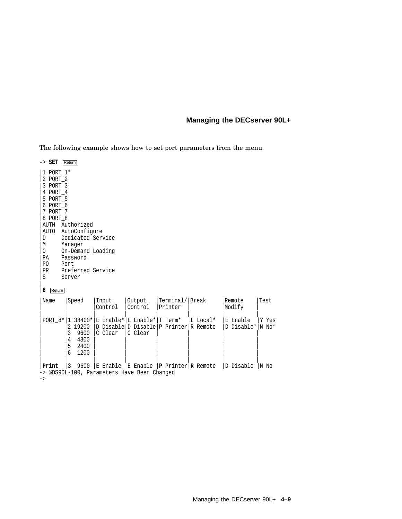The following example shows how to set port parameters from the menu.

-> **SET** Return |1 PORT\_1\* |2 PORT\_2 |3 PORT\_3 |4 PORT\_4 |5 PORT\_5 |6 PORT\_6 |7 PORT\_7 |8 PORT\_8 |AUTH Authorized AUTO AutoConfigure<br>D Dedicated Serv D Dedicated Service<br>M Manager Manager |O On-Demand Loading PA Password<br>PO Port PO Port<br>PR Prefe PR Preferred Service<br>S Server Server | |**8** Return |Name |Speed |Input |Output |Terminal/|Break |Remote |Test | Control | Printer | | | | | | | |  $PORT_8*|1 38400*|E$  Enable\*|E Enable\*|T Term\* |L Local\* |E Enable |Y Yes | |2 19200 |D Disable|D Disable|P Printer|R Remote |D Disable\*|N No\* | 3 9600 | C Clear<br>| 4 4800 | | |4 4800 | | | | | | | |5 2400 | | | | | | | |6 1200 | | | | | | | | | | | | | | |**Print** |**3** 9600 |E Enable |E Enable |**P** Printer|**R** Remote |D Disable |N No -> %DS90L-100, Parameters Have Been Changed ->

Managing the DECserver 90L+ **4–9**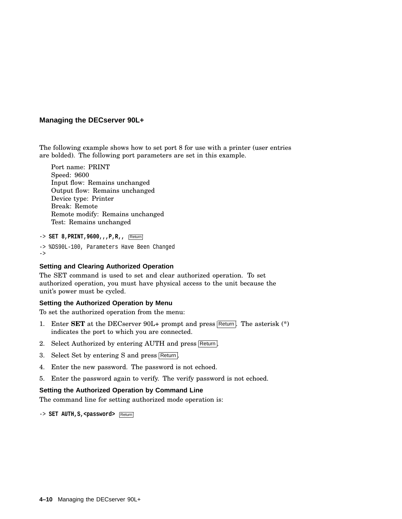The following example shows how to set port 8 for use with a printer (user entries are bolded). The following port parameters are set in this example.

Port name: PRINT Speed: 9600 Input flow: Remains unchanged Output flow: Remains unchanged Device type: Printer Break: Remote Remote modify: Remains unchanged Test: Remains unchanged

```
-> SET 8,PRINT,9600,,,P,R,, Return
-> %DS90L-100, Parameters Have Been Changed
->
```
#### **Setting and Clearing Authorized Operation**

The SET command is used to set and clear authorized operation. To set authorized operation, you must have physical access to the unit because the unit's power must be cycled.

#### **Setting the Authorized Operation by Menu**

To set the authorized operation from the menu:

- 1. Enter **SET** at the DECserver  $90L+$  prompt and press Return. The asterisk  $(*)$ indicates the port to which you are connected.
- 2. Select Authorized by entering AUTH and press Return.
- 3. Select Set by entering S and press Return
- 4. Enter the new password. The password is not echoed.
- 5. Enter the password again to verify. The verify password is not echoed.

#### **Setting the Authorized Operation by Command Line**

The command line for setting authorized mode operation is:

-> **SET AUTH, S, <password>** Return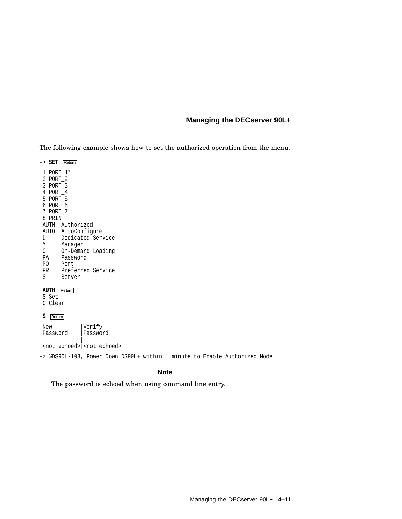The following example shows how to set the authorized operation from the menu.

-> **SET** Return |1 PORT\_1\* |2 PORT\_2 |3 PORT\_3 |4 PORT\_4 |5 PORT\_5 |6 PORT\_6 |7 PORT\_7 |8 PRINT |AUTH Authorized AUTO AutoConfigure<br>D Dedicated Serv D Dedicated Service<br>M Manager Manager |O On-Demand Loading PA Password<br>PO Port PO Port<br>PR Prefe PR Preferred Service<br>S Server Server | |**AUTH** Return |S Set |C Clear | |**S** Return |New |Verify<br>|Password |Password Password | | |<not echoed>|<not echoed> -> %DS90L-103, Power Down DS90L+ within 1 minute to Enable Authorized Mode **Note**

The password is echoed when using command line entry.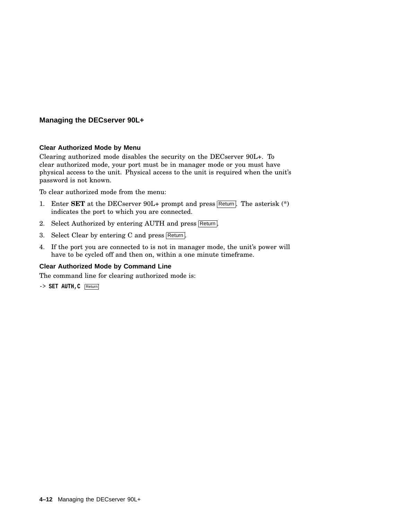#### **Clear Authorized Mode by Menu**

Clearing authorized mode disables the security on the DECserver 90L+. To clear authorized mode, your port must be in manager mode or you must have physical access to the unit. Physical access to the unit is required when the unit's password is not known.

To clear authorized mode from the menu:

- 1. Enter **SET** at the DECserver 90L+ prompt and press Return. The asterisk (\*) indicates the port to which you are connected.
- 2. Select Authorized by entering AUTH and press Return.
- 3. Select Clear by entering C and press Return.
- 4. If the port you are connected to is not in manager mode, the unit's power will have to be cycled off and then on, within a one minute timeframe.

## **Clear Authorized Mode by Command Line**

The command line for clearing authorized mode is:

-> **SET AUTH,C** Return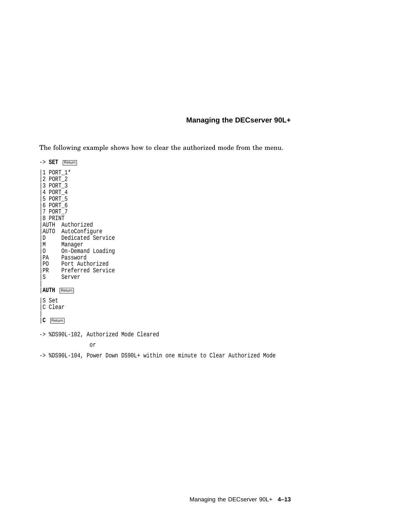The following example shows how to clear the authorized mode from the menu.

-> **SET** Return |1 PORT\_1\* |2 PORT\_2 |3 PORT\_3 |4 PORT\_4 |5 PORT\_5 |6 PORT\_6 |7 PORT\_7 |8 PRINT |AUTH Authorized AUTO AutoConfigure<br>D Dedicated Serv |D Dedicated Service<br>|M Manager Manager |O On-Demand Loading PA Password<br>PO Port Auth Port Authorized PR Preferred Service<br>S Server Server | |**AUTH** Return |S Set |C Clear | |**C** Return -> %DS90L-102, Authorized Mode Cleared

or

#### -> %DS90L-104, Power Down DS90L+ within one minute to Clear Authorized Mode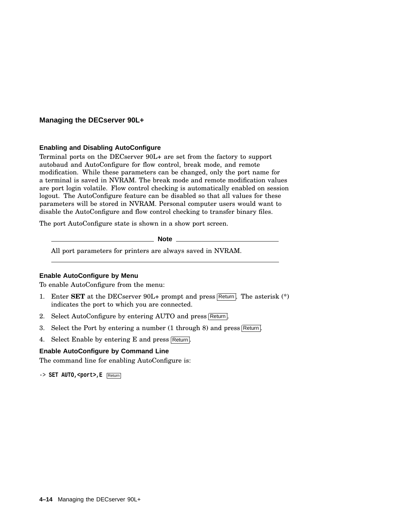#### **Enabling and Disabling AutoConfigure**

Terminal ports on the DECserver 90L+ are set from the factory to support autobaud and AutoConfigure for flow control, break mode, and remote modification. While these parameters can be changed, only the port name for a terminal is saved in NVRAM. The break mode and remote modification values are port login volatile. Flow control checking is automatically enabled on session logout. The AutoConfigure feature can be disabled so that all values for these parameters will be stored in NVRAM. Personal computer users would want to disable the AutoConfigure and flow control checking to transfer binary files.

The port AutoConfigure state is shown in a show port screen.

**Note**

All port parameters for printers are always saved in NVRAM.

#### **Enable AutoConfigure by Menu**

To enable AutoConfigure from the menu:

- 1. Enter **SET** at the DECserver 90L+ prompt and press Return. The asterisk (\*) indicates the port to which you are connected.
- 2. Select AutoConfigure by entering AUTO and press Return.
- 3. Select the Port by entering a number  $(1 + h \cdot \text{trough } 8)$  and press Return.
- 4. Select Enable by entering E and press Return.

#### **Enable AutoConfigure by Command Line**

The command line for enabling AutoConfigure is:

-> **SET AUTO,<port>,E** Return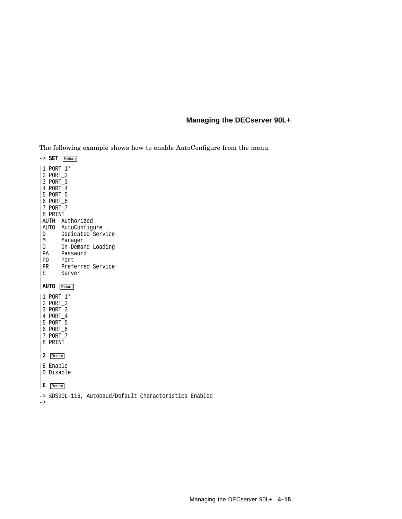The following example shows how to enable AutoConfigure from the menu.

-> **SET** Return |1 PORT\_1\* |2 PORT\_2 |3 PORT\_3 |4 PORT\_4 |5 PORT\_5 |6 PORT\_6 |7 PORT\_7 |8 PRINT |AUTH Authorized AUTO AutoConfigure<br>D Dedicated Serv Dedicated Service |M Manager 0 On-Demand Loading<br>PA Password PA Password<br>PO Port PO Port<br>PR Prefe PR Preferred Service<br>S Server Server | |**AUTO** Return |1 PORT\_1\* |2 PORT\_2 |3 PORT\_3 |4 PORT\_4 |5 PORT\_5 |6 PORT\_6 |7 PORT\_7 |8 PRINT  $\overline{ }$ |**2** Return |E Enable |D Disable  $\overline{ }$ |**E** Return

-> %DS90L-116, Autobaud/Default Characteristics Enabled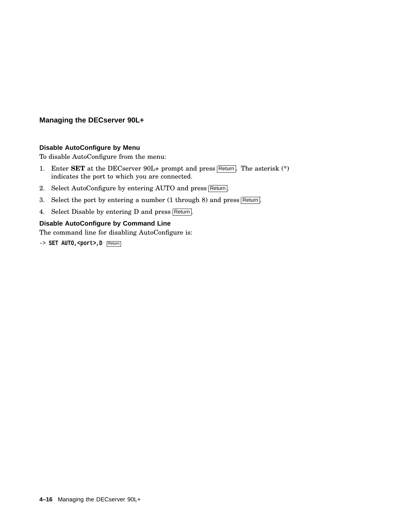#### **Disable AutoConfigure by Menu**

To disable AutoConfigure from the menu:

- 1. Enter **SET** at the DECserver  $90L+$  prompt and press Return. The asterisk  $(*)$ indicates the port to which you are connected.
- 2. Select AutoConfigure by entering AUTO and press Return.
- 3. Select the port by entering a number (1 through 8) and press Return.
- 4. Select Disable by entering D and press Return.

## **Disable AutoConfigure by Command Line**

The command line for disabling AutoConfigure is:

-> **SET AUTO, <port>, D** Return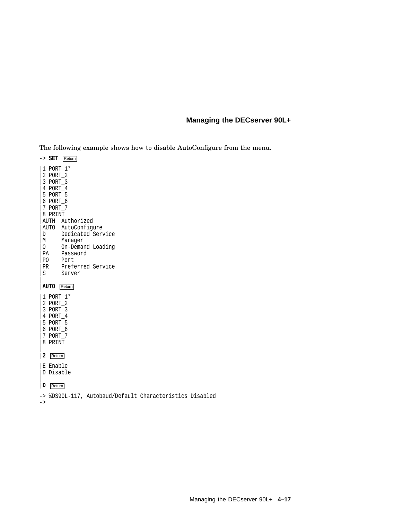The following example shows how to disable AutoConfigure from the menu.

-> **SET** Return |1 PORT\_1\* |2 PORT\_2 |3 PORT\_3 |4 PORT\_4 |5 PORT\_5 |6 PORT\_6 |7 PORT\_7 |8 PRINT |AUTH Authorized AUTO AutoConfigure<br>D Dedicated Serv Dedicated Service |M Manager 0 On-Demand Loading<br>PA Password PA Password<br>PO Port PO Port<br>PR Prefe PR Preferred Service<br>S Server Server | |**AUTO** Return |1 PORT\_1\* |2 PORT\_2 |3 PORT\_3 |4 PORT\_4 |5 PORT\_5 |6 PORT\_6 |7 PORT\_7 |8 PRINT  $\overline{ }$ |**2** Return |E Enable |D Disable  $\overline{ }$ |**D** Return

-> %DS90L-117, Autobaud/Default Characteristics Disabled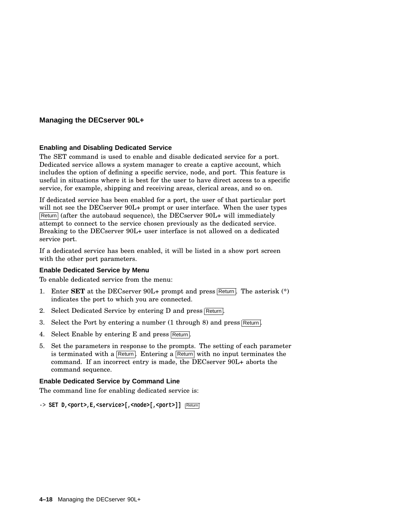#### **Enabling and Disabling Dedicated Service**

The SET command is used to enable and disable dedicated service for a port. Dedicated service allows a system manager to create a captive account, which includes the option of defining a specific service, node, and port. This feature is useful in situations where it is best for the user to have direct access to a specific service, for example, shipping and receiving areas, clerical areas, and so on.

If dedicated service has been enabled for a port, the user of that particular port will not see the DECserver 90L+ prompt or user interface. When the user types Return (after the autobaud sequence), the DECserver 90L+ will immediately attempt to connect to the service chosen previously as the dedicated service. Breaking to the DECserver 90L+ user interface is not allowed on a dedicated service port.

If a dedicated service has been enabled, it will be listed in a show port screen with the other port parameters.

#### **Enable Dedicated Service by Menu**

To enable dedicated service from the menu:

- 1. Enter **SET** at the DECserver 90L+ prompt and press Return. The asterisk (\*) indicates the port to which you are connected.
- 2. Select Dedicated Service by entering D and press Return.
- 3. Select the Port by entering a number  $(1 + h \cdot \text{trough } 8)$  and press Return.
- 4. Select Enable by entering E and press Return.
- 5. Set the parameters in response to the prompts. The setting of each parameter is terminated with a Return. Entering a Return with no input terminates the command. If an incorrect entry is made, the DECserver 90L+ aborts the command sequence.

#### **Enable Dedicated Service by Command Line**

The command line for enabling dedicated service is:

```
-> SET D,<port>,E,<service>[,<node>[,<port>]] Return
```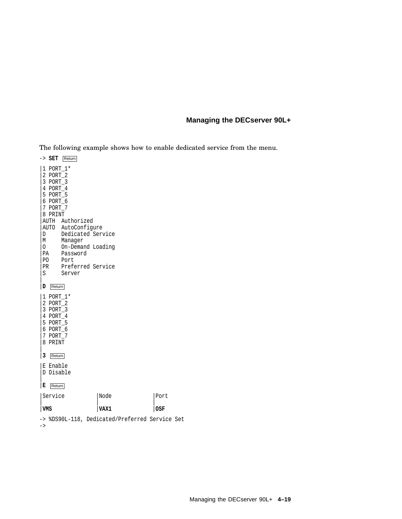The following example shows how to enable dedicated service from the menu.

-> **SET** Return |1 PORT\_1\* |2 PORT\_2 |3 PORT\_3 |4 PORT\_4 |5 PORT\_5 |6 PORT\_6 |7 PORT\_7 |8 PRINT |AUTH Authorized AUTO AutoConfigure<br>D Dedicated Serv Dedicated Service |M Manager 0 On-Demand Loading<br>PA Password PA Password<br>PO Port PO Port<br>PR Prefe PR Preferred Service<br>S Server Server | |**D** Return |1 PORT\_1\* |2 PORT\_2 |3 PORT\_3 |4 PORT\_4 |5 PORT\_5 |6 PORT\_6 |7 PORT\_7 |8 PRINT  $\overline{ }$ |**3** Return |E Enable |D Disable  $\overline{ }$ |**E** Return |Service |Node |Port | | | |**VMS** |**VAX1** |**OSF**

-> %DS90L-118, Dedicated/Preferred Service Set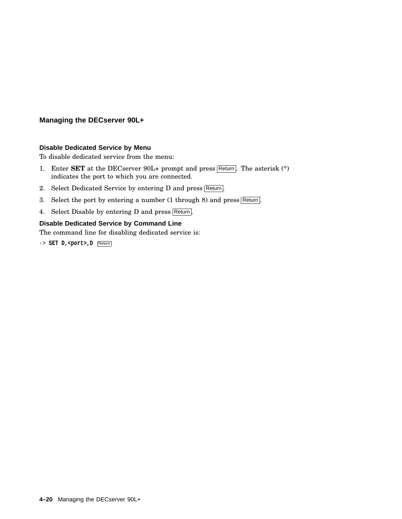#### **Disable Dedicated Service by Menu**

To disable dedicated service from the menu:

- 1. Enter **SET** at the DECserver 90L+ prompt and press Return. The asterisk (\*) indicates the port to which you are connected.
- 2. Select Dedicated Service by entering D and press Return.
- 3. Select the port by entering a number (1 through 8) and press Return.
- 4. Select Disable by entering D and press Return.

## **Disable Dedicated Service by Command Line**

The command line for disabling dedicated service is:

-> **SET D,<port>,D** Return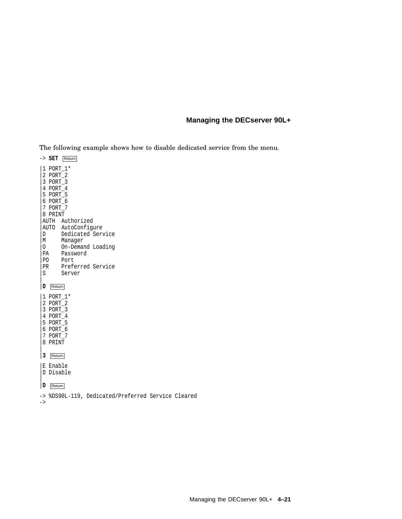The following example shows how to disable dedicated service from the menu.

-> **SET** Return |1 PORT\_1\* |2 PORT\_2 |3 PORT\_3 |4 PORT\_4 |5 PORT\_5 |6 PORT\_6 |7 PORT\_7 |8 PRINT |AUTH Authorized AUTO AutoConfigure<br>D Dedicated Serv Dedicated Service |M Manager 0 On-Demand Loading<br>PA Password PA Password<br>PO Port PO Port<br>PR Prefe PR Preferred Service<br>S Server Server | |**D** Return |1 PORT\_1\* |2 PORT\_2 |3 PORT\_3 |4 PORT\_4 |5 PORT\_5 |6 PORT\_6 |7 PORT\_7 |8 PRINT  $\overline{ }$ |**3** Return |E Enable |D Disable  $\overline{ }$ |**D** Return -> %DS90L-119, Dedicated/Preferred Service Cleared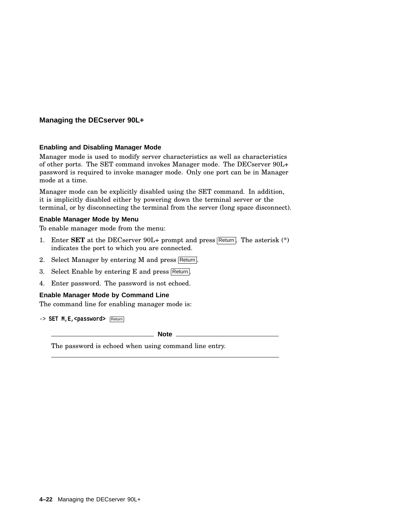#### **Enabling and Disabling Manager Mode**

Manager mode is used to modify server characteristics as well as characteristics of other ports. The SET command invokes Manager mode. The DECserver 90L+ password is required to invoke manager mode. Only one port can be in Manager mode at a time.

Manager mode can be explicitly disabled using the SET command. In addition, it is implicitly disabled either by powering down the terminal server or the terminal, or by disconnecting the terminal from the server (long space disconnect).

#### **Enable Manager Mode by Menu**

To enable manager mode from the menu:

- 1. Enter **SET** at the DECserver 90L+ prompt and press Return. The asterisk (\*) indicates the port to which you are connected.
- 2. Select Manager by entering M and press Return.
- 3. Select Enable by entering E and press Return.
- 4. Enter password. The password is not echoed.

#### **Enable Manager Mode by Command Line**

The command line for enabling manager mode is:

-> **SET M,E,<password>** Return

**Note**

The password is echoed when using command line entry.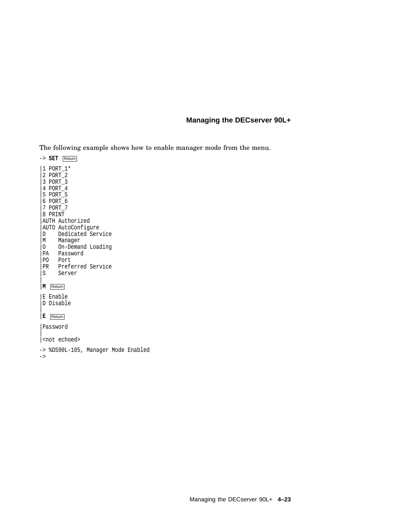The following example shows how to enable manager mode from the menu.

-> **SET** Return |1 PORT\_1\* |2 PORT\_2 |3 PORT\_3 |4 PORT\_4 |5 PORT\_5 |6 PORT\_6 |7 PORT\_7 |8 PRINT |AUTH Authorized |AUTO AutoConfigure |D Dedicated Service |M Manager |O On-Demand Loading |PA Password |PO Port PR Preferred Service<br>S Server Server | |**M** Return |E Enable |D Disable | |**E** Return |Password  $\overline{ }$ |<not echoed> -> %DS90L-105, Manager Mode Enabled ->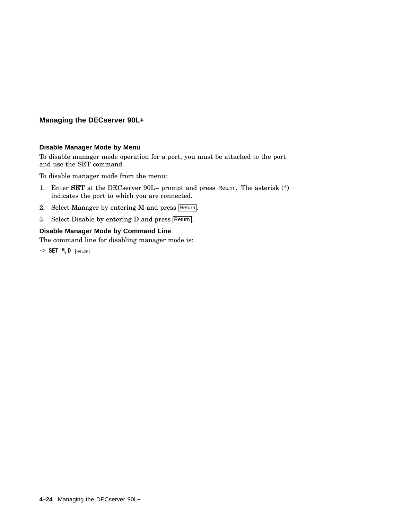#### **Disable Manager Mode by Menu**

To disable manager mode operation for a port, you must be attached to the port and use the SET command.

To disable manager mode from the menu:

- 1. Enter **SET** at the DECserver  $90L+$  prompt and press  $\overline{\text{Return}}$ . The asterisk  $(*)$ indicates the port to which you are connected.
- 2. Select Manager by entering M and press Return.
- 3. Select Disable by entering D and press Return.

## **Disable Manager Mode by Command Line**

The command line for disabling manager mode is:

-> **SET M,D** Return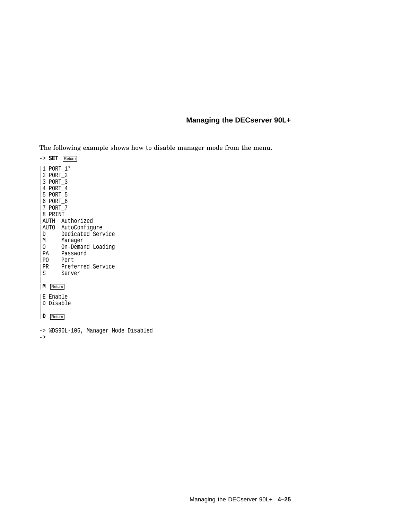The following example shows how to disable manager mode from the menu.

-> **SET** Return |1 PORT\_1\* |2 PORT\_2 |3 PORT\_3 |4 PORT\_4 |5 PORT\_5 |6 PORT\_6 |7 PORT\_7 |8 PRINT |AUTH Authorized AUTO AutoConfigure<br>D Dedicated Serv Dedicated Service |M Manager 0 On-Demand Loading<br>PA Password PA Password<br>PO Port PO Port<br>PR Prefe PR Preferred Service<br>S Server Server | |**M** Return |E Enable |D Disable | |**D** Return

-> %DS90L-106, Manager Mode Disabled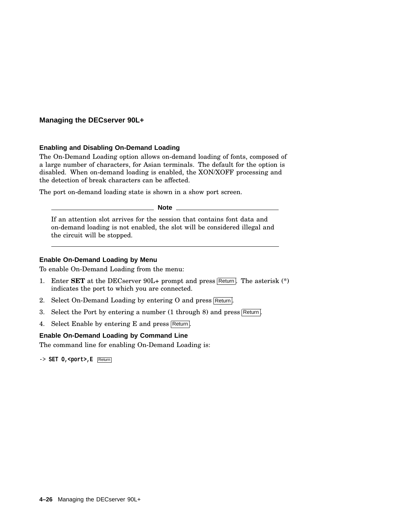#### **Enabling and Disabling On-Demand Loading**

The On-Demand Loading option allows on-demand loading of fonts, composed of a large number of characters, for Asian terminals. The default for the option is disabled. When on-demand loading is enabled, the XON/XOFF processing and the detection of break characters can be affected.

The port on-demand loading state is shown in a show port screen.

**Note**

If an attention slot arrives for the session that contains font data and on-demand loading is not enabled, the slot will be considered illegal and the circuit will be stopped.

#### **Enable On-Demand Loading by Menu**

To enable On-Demand Loading from the menu:

- 1. Enter **SET** at the DECserver  $90L+$  prompt and press Return. The asterisk  $(*)$ indicates the port to which you are connected.
- 2. Select On-Demand Loading by entering O and press Return.
- 3. Select the Port by entering a number  $(1 + h \cdot \text{trough } 8)$  and press Return.
- 4. Select Enable by entering E and press Return.

#### **Enable On-Demand Loading by Command Line**

The command line for enabling On-Demand Loading is:

-> **SET O,<port>,E** Return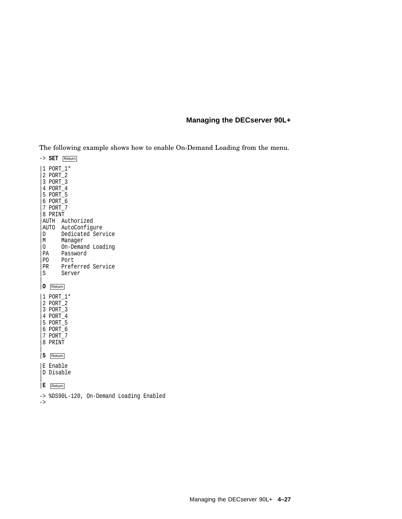The following example shows how to enable On-Demand Loading from the menu.

-> **SET** Return |1 PORT\_1\* |2 PORT\_2 |3 PORT\_3 |4 PORT\_4 |5 PORT\_5 |6 PORT\_6 |7 PORT\_7 |8 PRINT |AUTH Authorized AUTO AutoConfigure<br>D Dedicated Serv Dedicated Service |M Manager 0 On-Demand Loading<br>PA Password PA Password<br>PO Port PO Port<br>PR Prefe PR Preferred Service<br>S Server Server | |**O** Return |1 PORT\_1\* |2 PORT\_2 |3 PORT\_3 |4 PORT\_4 |5 PORT\_5 |6 PORT\_6 |7 PORT\_7 |8 PRINT  $\overline{ }$ |**5** Return |E Enable |D Disable  $\overline{ }$ |**E** Return -> %DS90L-120, On-Demand Loading Enabled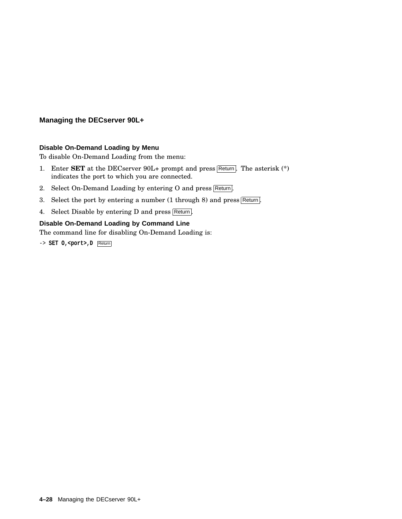#### **Disable On-Demand Loading by Menu**

To disable On-Demand Loading from the menu:

- 1. Enter **SET** at the DECserver 90L+ prompt and press Return. The asterisk (\*) indicates the port to which you are connected.
- 2. Select On-Demand Loading by entering O and press Return.
- 3. Select the port by entering a number (1 through 8) and press Return.
- 4. Select Disable by entering D and press Return.

## **Disable On-Demand Loading by Command Line**

The command line for disabling On-Demand Loading is:

-> **SET O,<port>,D** Return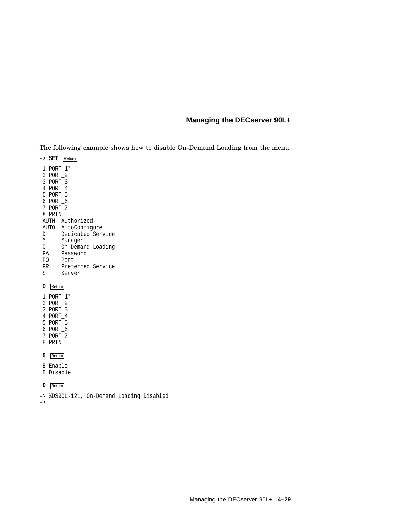The following example shows how to disable On-Demand Loading from the menu.

-> **SET** Return |1 PORT\_1\* |2 PORT\_2 |3 PORT\_3 |4 PORT\_4 |5 PORT\_5 |6 PORT\_6 |7 PORT\_7 |8 PRINT |AUTH Authorized AUTO AutoConfigure<br>D Dedicated Serv Dedicated Service |M Manager 0 On-Demand Loading<br>PA Password PA Password<br>PO Port PO Port<br>PR Prefe PR Preferred Service<br>S Server Server | |**O** Return |1 PORT\_1\* |2 PORT\_2 |3 PORT\_3 |4 PORT\_4 |5 PORT\_5 |6 PORT\_6 |7 PORT\_7 |8 PRINT  $\overline{ }$ |**5** Return |E Enable |D Disable  $\overline{ }$ |**D** Return -> %DS90L-121, On-Demand Loading Disabled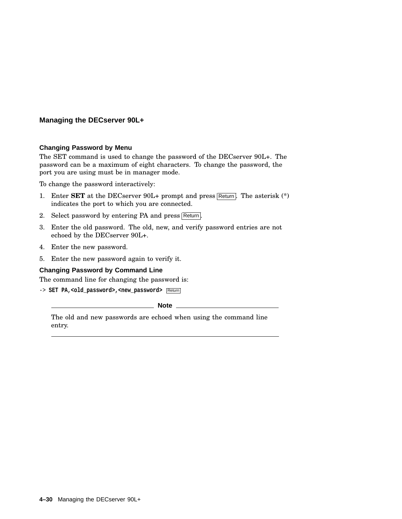## **Changing Password by Menu**

The SET command is used to change the password of the DECserver 90L+. The password can be a maximum of eight characters. To change the password, the port you are using must be in manager mode.

To change the password interactively:

- 1. Enter **SET** at the DECserver 90L+ prompt and press Return. The asterisk (\*) indicates the port to which you are connected.
- 2. Select password by entering PA and press Return.
- 3. Enter the old password. The old, new, and verify password entries are not echoed by the DECserver 90L+.
- 4. Enter the new password.
- 5. Enter the new password again to verify it.

#### **Changing Password by Command Line**

The command line for changing the password is:

-> SET PA, <old\_password>, <new\_password> Return

**Note** \_

The old and new passwords are echoed when using the command line entry.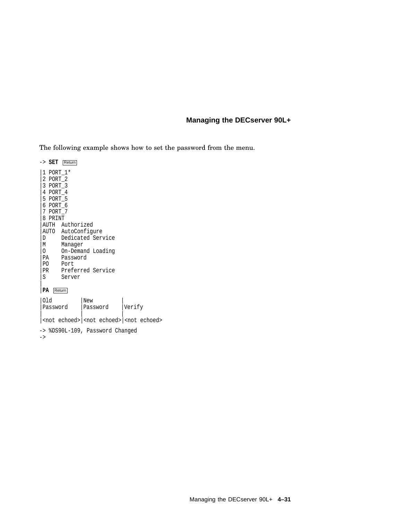The following example shows how to set the password from the menu.

-> **SET** Return |1 PORT\_1\* |2 PORT\_2 |3 PORT\_3 |4 PORT\_4 |5 PORT\_5 |6 PORT\_6 |7 PORT\_7 |8 PRINT |AUTH Authorized AUTO AutoConfigure<br>D Dedicated Serv |D Dedicated Service<br>|M Manager Manager |O On-Demand Loading PA Password<br>PO Port PO Port<br>PR Prefe PR Preferred Service<br>S Server Server | |**PA** Return |Old |New |<br>|Password |Password |Verify | Password | | | |<not echoed>|<not echoed>|<not echoed> -> %DS90L-109, Password Changed ->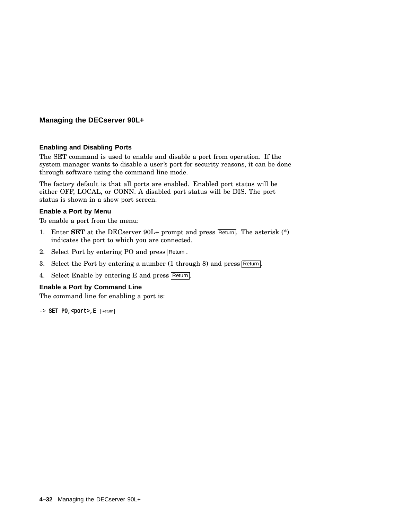#### **Enabling and Disabling Ports**

The SET command is used to enable and disable a port from operation. If the system manager wants to disable a user's port for security reasons, it can be done through software using the command line mode.

The factory default is that all ports are enabled. Enabled port status will be either OFF, LOCAL, or CONN. A disabled port status will be DIS. The port status is shown in a show port screen.

#### **Enable a Port by Menu**

To enable a port from the menu:

- 1. Enter **SET** at the DECserver 90L+ prompt and press Return. The asterisk (\*) indicates the port to which you are connected.
- 2. Select Port by entering PO and press Return.
- 3. Select the Port by entering a number  $(1$  through 8) and press Return.
- 4. Select Enable by entering E and press Return.

#### **Enable a Port by Command Line**

The command line for enabling a port is:

-> **SET PO,<port>,E** Return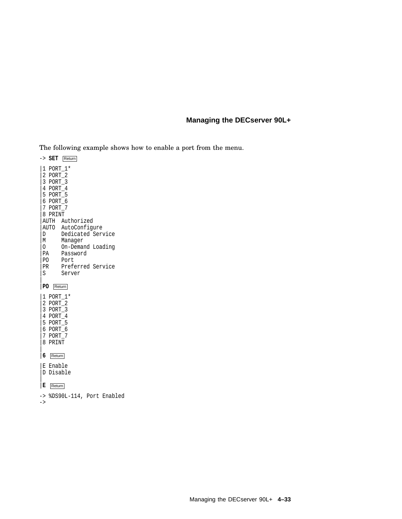The following example shows how to enable a port from the menu.

-> **SET** Return |1 PORT\_1\* |2 PORT\_2 |3 PORT\_3 |4 PORT\_4 |5 PORT\_5 |6 PORT\_6 |7 PORT\_7 |8 PRINT |AUTH Authorized AUTO AutoConfigure<br>D Dedicated Serv Dedicated Service |M Manager 0 On-Demand Loading<br>PA Password PA Password<br>PO Port PO Port<br>PR Prefe PR Preferred Service<br>S Server Server | |**PO** Return |1 PORT\_1\* |2 PORT\_2 |3 PORT\_3 |4 PORT\_4 |5 PORT\_5 |6 PORT\_6 |7 PORT\_7 |8 PRINT  $\overline{ }$ |**6** Return |E Enable |D Disable  $\overline{ }$ |**E** Return -> %DS90L-114, Port Enabled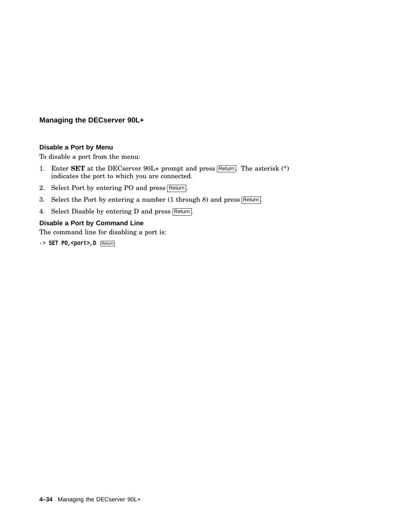#### **Disable a Port by Menu**

To disable a port from the menu:

- 1. Enter **SET** at the DECserver  $90L+$  prompt and press  $\overline{\text{Return}}$ . The asterisk  $(*)$ indicates the port to which you are connected.
- 2. Select Port by entering PO and press Return.
- 3. Select the Port by entering a number (1 through 8) and press Return.
- 4. Select Disable by entering D and press Return.

#### **Disable a Port by Command Line**

The command line for disabling a port is:

-> **SET PO, <port>, D** Return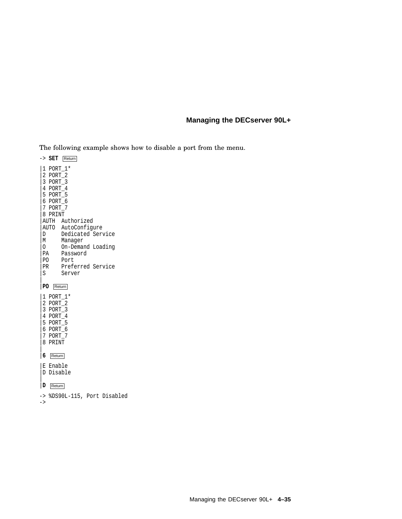The following example shows how to disable a port from the menu.

-> **SET** Return |1 PORT\_1\* |2 PORT\_2 |3 PORT\_3 |4 PORT\_4 |5 PORT\_5 |6 PORT\_6 |7 PORT\_7 |8 PRINT |AUTH Authorized AUTO AutoConfigure<br>D Dedicated Serv Dedicated Service |M Manager 0 On-Demand Loading<br>PA Password PA Password<br>PO Port PO Port<br>PR Prefe PR Preferred Service<br>S Server Server | |**PO** Return |1 PORT\_1\* |2 PORT\_2 |3 PORT\_3 |4 PORT\_4 |5 PORT\_5 |6 PORT\_6 |7 PORT\_7 |8 PRINT  $\overline{ }$ |**6** Return |E Enable |D Disable  $\overline{ }$ |**D** Return -> %DS90L-115, Port Disabled

->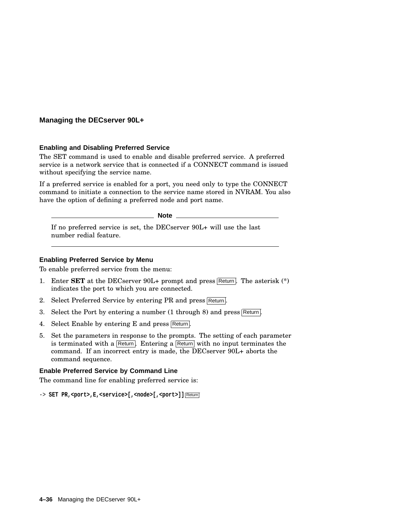#### **Enabling and Disabling Preferred Service**

The SET command is used to enable and disable preferred service. A preferred service is a network service that is connected if a CONNECT command is issued without specifying the service name.

If a preferred service is enabled for a port, you need only to type the CONNECT command to initiate a connection to the service name stored in NVRAM. You also have the option of defining a preferred node and port name.

**Note** 

If no preferred service is set, the DECserver 90L+ will use the last number redial feature.

#### **Enabling Preferred Service by Menu**

To enable preferred service from the menu:

- 1. Enter **SET** at the DECserver  $90L+$  prompt and press Return. The asterisk  $(*)$ indicates the port to which you are connected.
- 2. Select Preferred Service by entering PR and press Return.
- 3. Select the Port by entering a number (1 through 8) and press Return.
- 4. Select Enable by entering E and press Return.
- 5. Set the parameters in response to the prompts. The setting of each parameter is terminated with a Return. Entering a Return with no input terminates the command. If an incorrect entry is made, the DECserver 90L+ aborts the command sequence.

#### **Enable Preferred Service by Command Line**

The command line for enabling preferred service is:

-> SET PR,<port>,E,<service>[,<node>[,<port>]] Return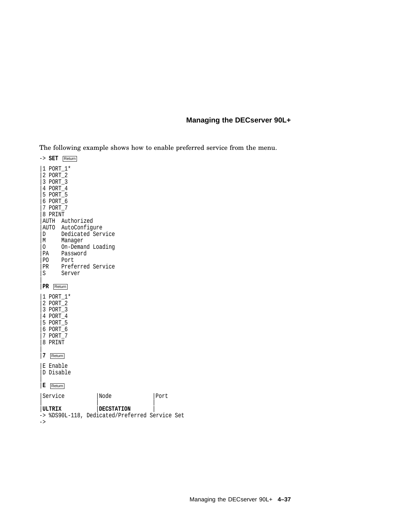The following example shows how to enable preferred service from the menu.

-> **SET** Return |1 PORT\_1\* |2 PORT\_2 |3 PORT\_3 |4 PORT\_4 |5 PORT\_5 |6 PORT\_6 |7 PORT\_7 |8 PRINT |AUTH Authorized AUTO AutoConfigure<br>D Dedicated Serv Dedicated Service |M Manager 0 On-Demand Loading<br>PA Password PA Password<br>PO Port PO Port<br>PR Prefe PR Preferred Service<br>S Server Server | |**PR** Return |1 PORT\_1\* |2 PORT\_2 |3 PORT\_3 |4 PORT\_4 |5 PORT\_5 |6 PORT\_6 |7 PORT\_7 |8 PRINT  $\overline{ }$ |**7** Return |E Enable |D Disable  $\overline{ }$ |**E** Return |Service |Node |Port | | | |**ULTRIX** |**DECSTATION** | -> %DS90L-118, Dedicated/Preferred Service Set

->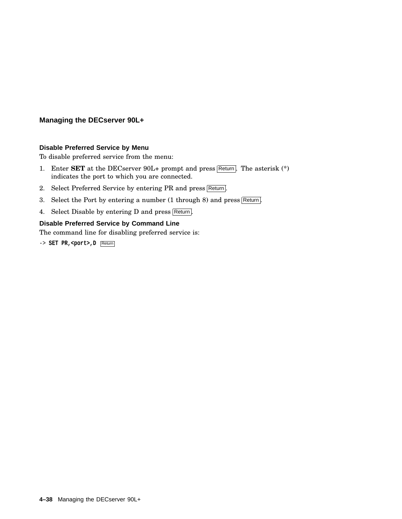#### **Disable Preferred Service by Menu**

To disable preferred service from the menu:

- 1. Enter **SET** at the DECserver 90L+ prompt and press Return. The asterisk (\*) indicates the port to which you are connected.
- 2. Select Preferred Service by entering PR and press Return.
- 3. Select the Port by entering a number  $(1 \text{ through } 8)$  and press Return.
- 4. Select Disable by entering D and press Return.

#### **Disable Preferred Service by Command Line**

The command line for disabling preferred service is:

-> **SET PR,<port>,D** Return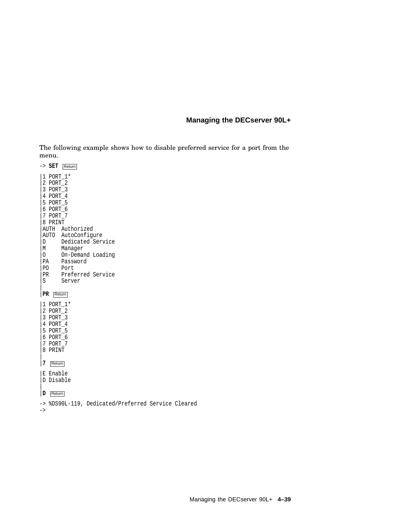The following example shows how to disable preferred service for a port from the menu.

|                                                      | -> SET                                                                                       | Return                                                                         |                                                             |                                                    |  |
|------------------------------------------------------|----------------------------------------------------------------------------------------------|--------------------------------------------------------------------------------|-------------------------------------------------------------|----------------------------------------------------|--|
| D<br>M<br>$\circ$<br>PA<br>P <sub>0</sub><br>PR<br>S | 1 PORT 1*<br>2 PORT_2<br>3 PORT_3<br>4 PORT_4<br>5 PORT_5<br>6 PORT_6<br>7 PORT 7<br>8 PRINT | AUTH Authorized<br>AUTO AutoConfigure<br>Manager<br>Password<br>Port<br>Server | Dedicated Service<br>On-Demand Loading<br>Preferred Service |                                                    |  |
| PR                                                   |                                                                                              | Return                                                                         |                                                             |                                                    |  |
|                                                      | 1 PORT 1*<br>2 PORT 2<br>3 PORT 3<br>4 PORT 4<br>5 PORT 5<br>6 PORT_6<br>7 PORT 7<br>8 PRINT |                                                                                |                                                             |                                                    |  |
| 7                                                    | Return                                                                                       |                                                                                |                                                             |                                                    |  |
|                                                      | E Enable<br>D Disable                                                                        |                                                                                |                                                             |                                                    |  |
| D                                                    | Return                                                                                       |                                                                                |                                                             |                                                    |  |
|                                                      |                                                                                              |                                                                                |                                                             | -> %DS90L-119, Dedicated/Preferred Service Cleared |  |

->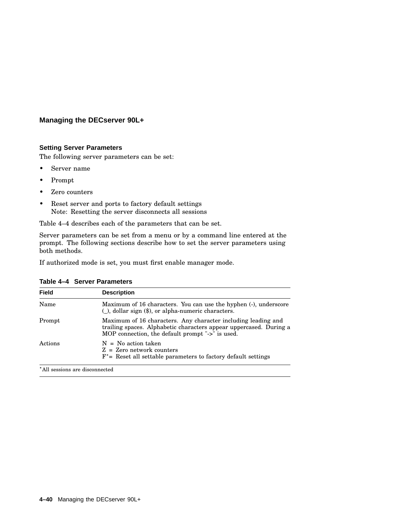#### **Setting Server Parameters**

The following server parameters can be set:

- Server name
- Prompt
- Zero counters
- Reset server and ports to factory default settings Note: Resetting the server disconnects all sessions

Table 4–4 describes each of the parameters that can be set.

Server parameters can be set from a menu or by a command line entered at the prompt. The following sections describe how to set the server parameters using both methods.

If authorized mode is set, you must first enable manager mode.

| <b>Field</b> | <b>Description</b>                                                                                                                                                                      |
|--------------|-----------------------------------------------------------------------------------------------------------------------------------------------------------------------------------------|
| Name         | Maximum of 16 characters. You can use the hyphen (-), underscore<br>$($ , dollar sign $(\$)$ , or alpha-numeric characters.                                                             |
| Prompt       | Maximum of 16 characters. Any character including leading and<br>trailing spaces. Alphabetic characters appear uppercased. During a<br>MOP connection, the default prompt "->" is used. |
| Actions      | $N = No$ action taken<br>$Z = Zero$ network counters<br>$F^*$ = Reset all settable parameters to factory default settings                                                               |

**Table 4–4 Server Parameters**

All sessions are disconnected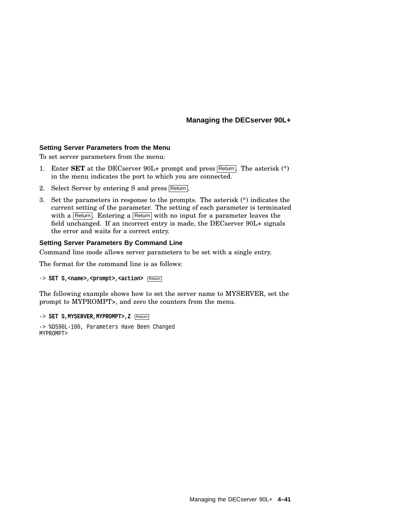#### **Setting Server Parameters from the Menu**

To set server parameters from the menu:

- 1. Enter **SET** at the DECserver 90L+ prompt and press Return. The asterisk (\*) in the menu indicates the port to which you are connected.
- 2. Select Server by entering S and press Return.
- 3. Set the parameters in response to the prompts. The asterisk (\*) indicates the current setting of the parameter. The setting of each parameter is terminated with a Return. Entering a Return with no input for a parameter leaves the field unchanged. If an incorrect entry is made, the DECserver 90L+ signals the error and waits for a correct entry.

#### **Setting Server Parameters By Command Line**

Command line mode allows server parameters to be set with a single entry.

The format for the command line is as follows:

```
-> SET S,<name>,<prompt>,<action> Return
```
The following example shows how to set the server name to MYSERVER, set the prompt to MYPROMPT>, and zero the counters from the menu.

```
-> SET S,MYSERVER,MYPROMPT>,Z Return
```

```
-> %DS90L-100, Parameters Have Been Changed
MYPROMPT>
```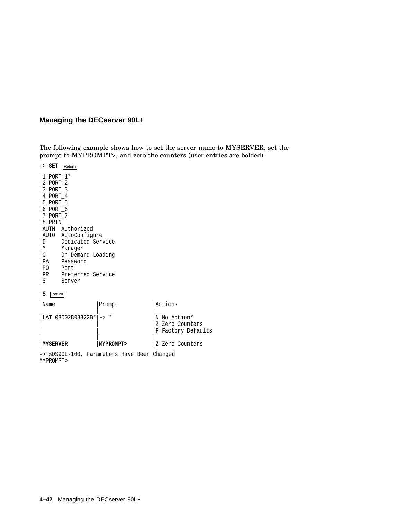The following example shows how to set the server name to MYSERVER, set the prompt to MYPROMPT>, and zero the counters (user entries are bolded).

-> **SET** Return |1 PORT\_1\* |2 PORT\_2 |3 PORT\_3 |4 PORT\_4 |5 PORT\_5 |6 PORT\_6 |7 PORT\_7 |8 PRINT |AUTH Authorized |AUTO AutoConfigure |D Dedicated Service<br>|M Manager Manager 0 On-Demand Loading<br>PA Password PA Password<br>PO Port Port PR Preferred Service<br>S Server Server  $\overline{ }$ |**S** Return |Name |Prompt |Actions | | |  $LAT_08002B08322B*|-> *$  |N No Action\* Z Zero Counters F Factory Defaults | | | |**MYSERVER** |**MYPROMPT>** |**Z** Zero Counters

-> %DS90L-100, Parameters Have Been Changed MYPROMPT>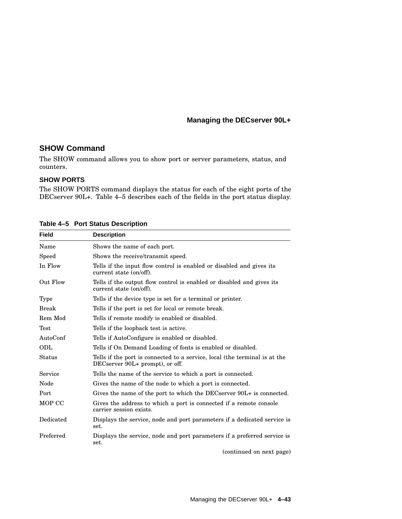#### **SHOW Command**

The SHOW command allows you to show port or server parameters, status, and counters.

#### **SHOW PORTS**

The SHOW PORTS command displays the status for each of the eight ports of the DECserver 90L+. Table 4–5 describes each of the fields in the port status display.

| <b>Field</b> | <b>Description</b>                                                                                            |  |  |
|--------------|---------------------------------------------------------------------------------------------------------------|--|--|
| Name         | Shows the name of each port.                                                                                  |  |  |
| Speed        | Shows the receive/transmit speed.                                                                             |  |  |
| In Flow      | Tells if the input flow control is enabled or disabled and gives its<br>current state (on/off).               |  |  |
| Out Flow     | Tells if the output flow control is enabled or disabled and gives its<br>current state (on/off).              |  |  |
| <b>Type</b>  | Tells if the device type is set for a terminal or printer.                                                    |  |  |
| <b>Break</b> | Tells if the port is set for local or remote break.                                                           |  |  |
| Rem Mod      | Tells if remote modify is enabled or disabled.                                                                |  |  |
| Test         | Tells if the loopback test is active.                                                                         |  |  |
| AutoConf     | Tells if AutoConfigure is enabled or disabled.                                                                |  |  |
| ODL          | Tells if On Demand Loading of fonts is enabled or disabled.                                                   |  |  |
| Status       | Tells if the port is connected to a service, local (the terminal is at the<br>DECserver 90L+ prompt), or off. |  |  |
| Service      | Tells the name of the service to which a port is connected.                                                   |  |  |
| Node         | Gives the name of the node to which a port is connected.                                                      |  |  |
| Port         | Gives the name of the port to which the DECserver 90L+ is connected.                                          |  |  |
| MOP CC       | Gives the address to which a port is connected if a remote console<br>carrier session exists.                 |  |  |
| Dedicated    | Displays the service, node and port parameters if a dedicated service is<br>set.                              |  |  |
| Preferred    | Displays the service, node and port parameters if a preferred service is<br>set.                              |  |  |

#### **Table 4–5 Port Status Description**

(continued on next page)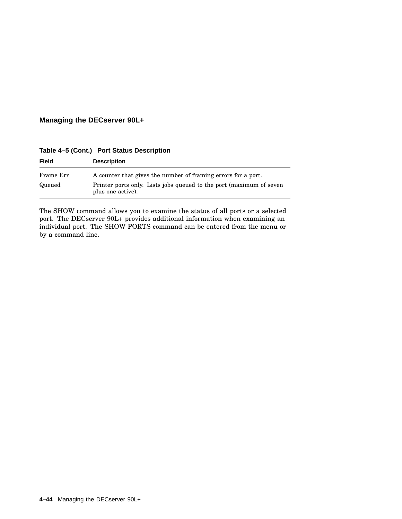| <b>Field</b> | <b>Description</b>                                                                       |  |  |  |
|--------------|------------------------------------------------------------------------------------------|--|--|--|
| Frame Err    | A counter that gives the number of framing errors for a port.                            |  |  |  |
| Queued       | Printer ports only. Lists jobs queued to the port (maximum of seven<br>plus one active). |  |  |  |

**Table 4–5 (Cont.) Port Status Description**

The SHOW command allows you to examine the status of all ports or a selected port. The DECserver 90L+ provides additional information when examining an individual port. The SHOW PORTS command can be entered from the menu or by a command line.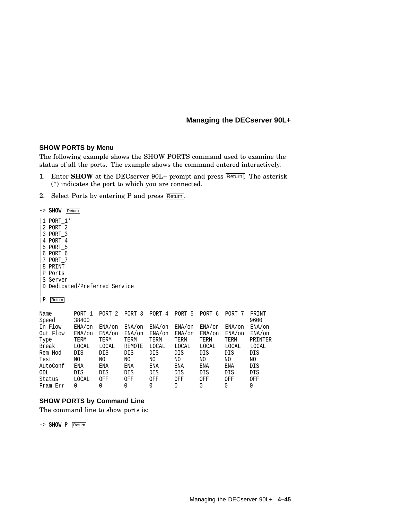#### **SHOW PORTS by Menu**

The following example shows the SHOW PORTS command used to examine the status of all the ports. The example shows the command entered interactively.

- 1. Enter **SHOW** at the DECserver 90L+ prompt and press Return. The asterisk (\*) indicates the port to which you are connected.
- 2. Select Ports by entering P and press Return.

-> **SHOW** Return |1 PORT\_1\* |2 PORT\_2 |3 PORT\_3 |4 PORT\_4 |5 PORT\_5 |6 PORT\_6 |7 PORT\_7 |8 PRINT |P Ports |S Server |D Dedicated/Preferred Service | |**P** Return

| Name     | PORT 1    | PORT 2    | PORT 3       | PORT 4    | PORT 5    | PORT 6    | PORT 7    | PRINT     |
|----------|-----------|-----------|--------------|-----------|-----------|-----------|-----------|-----------|
| Speed    | 38400     |           |              |           |           |           |           | 9600      |
| In Flow  | $ENA/$ on | $ENA/$ on | $ENA/$ on    | $ENA/$ on | $ENA/$ on | $ENA/$ on | $ENA/$ on | $ENA/$ on |
| Out Flow | ENA/on    | $ENA/$ on | $ENA/$ on    | $ENA/$ on | $ENA/$ on | $ENA/$ on | $ENA/$ on | $ENA/$ on |
| Type     | TERM      | TERM      | TERM         | TERM      | TERM      | TERM      | TERM      | PRINTER   |
| Break    | LOCAL     | LOCAL     | REMOTE       | LOCAL     | LOCAL     | LOCAL     | LOCAL     | LOCAL     |
| Rem Mod  | DIS       | DIS       | DIS          | DIS       | DIS       | DIS       | DIS       | DIS       |
| Test     | ΝO        | ΝO        | ΝO           | NΟ        | NΟ        | NO.       | NO.       | NO.       |
| AutoConf | ENA       | ENA       | ENA          | ENA       | ENA       | ENA       | ENA       | DIS       |
| ODL      | DIS       | DIS       | DIS          | DIS       | DIS       | DIS       | DIS       | DIS       |
| Status   | LOCAL     | OFF       | OFF          | OFF       | OFF       | OFF       | OFF       | OFF       |
| Fram Err | O.        | O.        | <sup>0</sup> | 0         | 0         | 0         | 0         | 0         |

#### **SHOW PORTS by Command Line**

The command line to show ports is:

-> **SHOW P** Return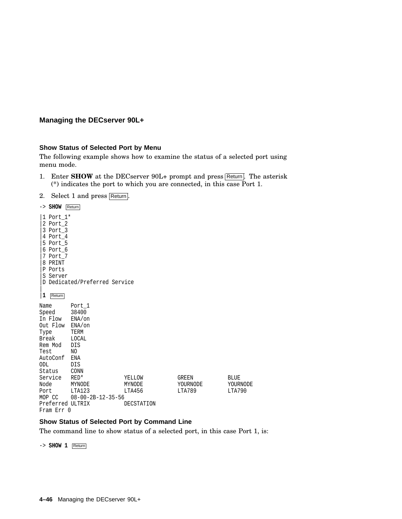#### **Show Status of Selected Port by Menu**

The following example shows how to examine the status of a selected port using menu mode.

- 1. Enter **SHOW** at the DECserver 90L+ prompt and press Return. The asterisk (\*) indicates the port to which you are connected, in this case Port 1.
- 2. Select 1 and press Return.

| $->$ SHOW                                                                                                              | Return                                                                            |                            |                             |                                   |
|------------------------------------------------------------------------------------------------------------------------|-----------------------------------------------------------------------------------|----------------------------|-----------------------------|-----------------------------------|
| 1 Port 1*<br>2 Port_2<br>3 Port 3<br>4 Port 4<br>5 Port 5<br>6 Port 6<br>7 Port 7<br>PRINT<br>8<br>P Ports<br>S Server | D Dedicated/Preferred Service                                                     |                            |                             |                                   |
| 1<br>Return                                                                                                            |                                                                                   |                            |                             |                                   |
| Name<br>Speed<br>In Flow<br>Out Flow ENA/on<br>Type<br>Break<br>Rem Mod<br>Test<br>AutoConf<br>ODL<br>Status           | Port 1<br>38400<br>$ENA/$ on<br>TERM<br>LOCAL<br>DIS<br>NO.<br>ENA<br>DIS<br>CONN |                            |                             |                                   |
| Service<br>Node<br>Port<br>MOP CC                                                                                      | $RED*$<br>MYNODE<br>LTA123<br>$08 - 00 - 2B - 12 - 35 - 56$                       | YELLOW<br>MYNODE<br>LTA456 | GREEN<br>YOURNODE<br>LTA789 | <b>BLUE</b><br>YOURNODE<br>LTA790 |
| Preferred ULTRIX                                                                                                       |                                                                                   | DECSTATION                 |                             |                                   |

#### Fram Err 0

### **Show Status of Selected Port by Command Line**

The command line to show status of a selected port, in this case Port 1, is:

-> **SHOW 1** Return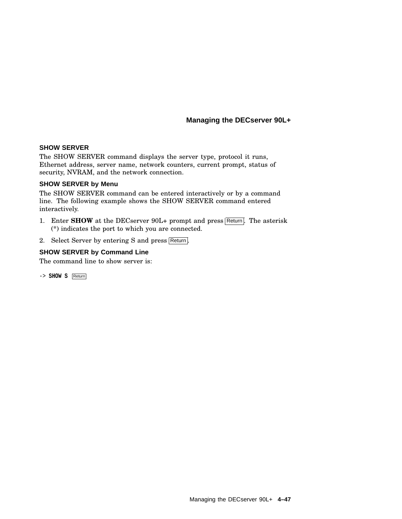#### **SHOW SERVER**

The SHOW SERVER command displays the server type, protocol it runs, Ethernet address, server name, network counters, current prompt, status of security, NVRAM, and the network connection.

#### **SHOW SERVER by Menu**

The SHOW SERVER command can be entered interactively or by a command line. The following example shows the SHOW SERVER command entered interactively.

- 1. Enter **SHOW** at the DECserver 90L+ prompt and press Return. The asterisk (\*) indicates the port to which you are connected.
- 2. Select Server by entering S and press Return.

#### **SHOW SERVER by Command Line**

The command line to show server is:

-> **SHOW S** Return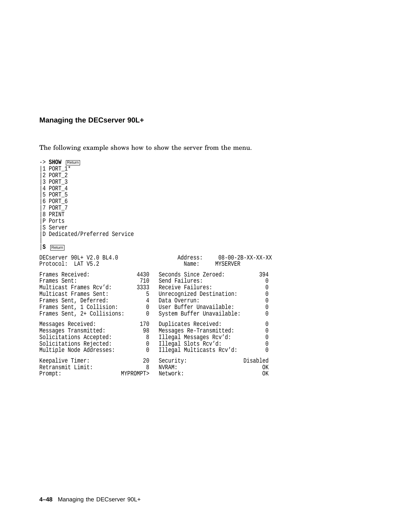The following example shows how to show the server from the menu.

-> **SHOW** Return |1 PORT\_1\* |2 PORT\_2 |3 PORT\_3 |4 PORT\_4 |5 PORT\_5 |6 PORT\_6 |7 PORT\_7 |8 PRINT |P Ports |S Server |D Dedicated/Preferred Service  $\overline{ }$ |**S** Return DECserver 90L+ V2.0 BL4.0 <br>Protocol: LAT V5.2 Mame: MYSERVER MAGNER Protocol: LAT V5.2 Frames Received: 4430 Seconds Since Zeroed: 394<br>
Frames Sent: 710 Send Failures: 0<br>  $\begin{array}{ccc}\n\text{5.394} & \text{5.396} \\
\text{6.392} & \text{6.397} \\
\text{7.303} & \text{7.392} \\
\text{7.303} & \text{7.393} \\
\text{7.303} & \text{7.393} \\
\text{7.303} & \text{7.393} \\
\text{7.303}$ Frames Sent: 710 Send Failures: 0 Multicast Frames Rcv'd: 3333 Receive Failures: 0 Multicast Frames Sent: 5 Unrecognized Destination: 0 Frames Sent, Deferred: 4 Data Overrun: 0 Frames Sent, 1 Collision: 0 User Buffer Unavailable: 0 Frames Sent, 2+ Collisions: 0 System Buffer Unavailable: 0 Messages Received: 170 Duplicates Received: 0<br>
Messages Transmitted: 98 Messages Re-Transmitted: 0 98 Messages Re-Transmitted: Solicitations Accepted: 8 Illegal Messages Rcv'd: 0 Solicitations Rejected:  $0$  Illegal Slots Rcv'd:  $0$ <br>
Multiple Node Addresses:  $0$  Illegal Multicasts Rcv'd:  $0$ Multiple Node Addresses: 0 Illegal Multicasts Rcv'd: Keepalive Timer: 20 Security: Disabled<br>Retransmit Limit: 20 NVRAM: 20 NVRAM: 20 OK Retransmit Limit: Prompt: MYPROMPT> Network: OK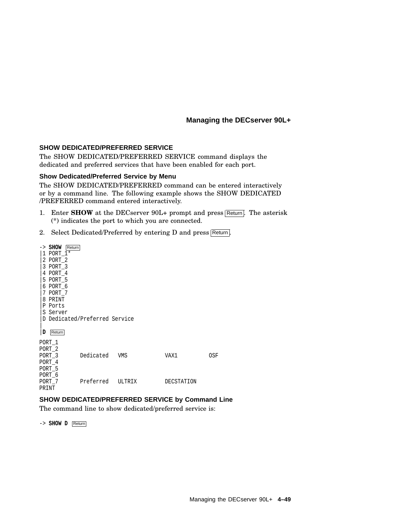#### **SHOW DEDICATED/PREFERRED SERVICE**

The SHOW DEDICATED/PREFERRED SERVICE command displays the dedicated and preferred services that have been enabled for each port.

#### **Show Dedicated/Preferred Service by Menu**

The SHOW DEDICATED/PREFERRED command can be entered interactively or by a command line. The following example shows the SHOW DEDICATED /PREFERRED command entered interactively.

- 1. Enter **SHOW** at the DECserver 90L+ prompt and press Return. The asterisk (\*) indicates the port to which you are connected.
- 2. Select Dedicated/Preferred by entering D and press Return.

| 1<br>7<br>8<br>Ρ<br>D | $\rightarrow$ SHOW<br>Return<br>PORT 1*<br>2 PORT 2<br>3 PORT 3<br>4 PORT 4<br>5 PORT 5<br>6 PORT 6<br>PORT 7<br>PRINT<br>Ports<br>S Server<br>Return | D Dedicated/Preferred Service |        |            |     |
|-----------------------|-------------------------------------------------------------------------------------------------------------------------------------------------------|-------------------------------|--------|------------|-----|
| PORT 1                | PORT <sub>2</sub><br>PORT 3<br>PORT 4<br>PORT 5                                                                                                       | Dedicated                     | VMS    | VAX1       | 0SF |
| PORT 7<br>PRINT       | PORT 6                                                                                                                                                | Preferred                     | ULTRIX | DECSTATION |     |

#### **SHOW DEDICATED/PREFERRED SERVICE by Command Line**

The command line to show dedicated/preferred service is:

-> **SHOW D** Return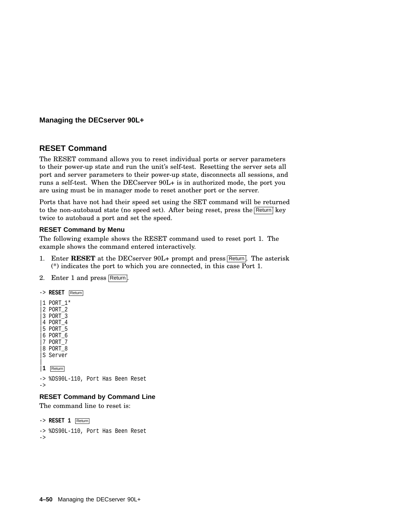#### **RESET Command**

The RESET command allows you to reset individual ports or server parameters to their power-up state and run the unit's self-test. Resetting the server sets all port and server parameters to their power-up state, disconnects all sessions, and runs a self-test. When the DECserver 90L+ is in authorized mode, the port you are using must be in manager mode to reset another port or the server.

Ports that have not had their speed set using the SET command will be returned to the non-autobaud state (no speed set). After being reset, press the Return key twice to autobaud a port and set the speed.

#### **RESET Command by Menu**

The following example shows the RESET command used to reset port 1. The example shows the command entered interactively.

- 1. Enter **RESET** at the DECserver 90L+ prompt and press Return. The asterisk (\*) indicates the port to which you are connected, in this case Port 1.
- 2. Enter 1 and press Return.

```
-> RESET Return
|1 PORT_1*
 |2 PORT_2
 |3 PORT_3
 |4 PORT_4
|5 PORT_5
 |6 PORT_6
 |7 PORT_7
 |8 PORT_8
|S Server
\overline{ }|1 Return
-> %DS90L-110, Port Has Been Reset
->
RESET Command by Command Line
```
The command line to reset is:

```
-> RESET 1 Return
-> %DS90L-110, Port Has Been Reset
->
```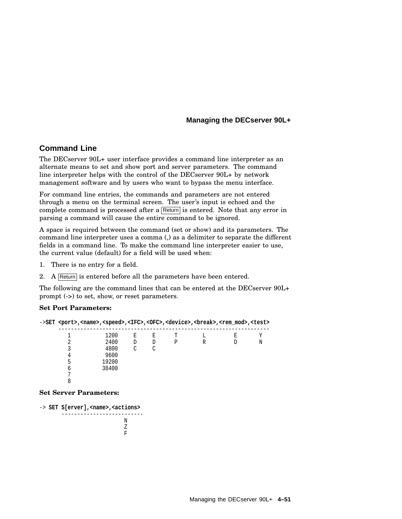#### **Command Line**

The DECserver 90L+ user interface provides a command line interpreter as an alternate means to set and show port and server parameters. The command line interpreter helps with the control of the DECserver 90L+ by network management software and by users who want to bypass the menu interface.

For command line entries, the commands and parameters are not entered through a menu on the terminal screen. The user's input is echoed and the complete command is processed after a Return is entered. Note that any error in parsing a command will cause the entire command to be ignored.

A space is required between the command (set or show) and its parameters. The command line interpreter uses a comma (,) as a delimiter to separate the different fields in a command line. To make the command line interpreter easier to use, the current value (default) for a field will be used when:

- 1. There is no entry for a field.
- 2. A Return is entered before all the parameters have been entered.

The following are the command lines that can be entered at the DECserver 90L+ prompt (->) to set, show, or reset parameters.

#### **Set Port Parameters:**

|   | ->SET <port>,<name>,<speed>,<ifc>,<ofc>,<device>,<br/>&gt;break&gt;,<rem_mod>,<test></test></rem_mod></device></ofc></ifc></speed></name></port> |   |   |   |   |    |   |
|---|--------------------------------------------------------------------------------------------------------------------------------------------------|---|---|---|---|----|---|
|   | 1200                                                                                                                                             | E | Ε |   |   | F. |   |
|   | 2400                                                                                                                                             | D | D | Р | R |    | N |
|   | 4800                                                                                                                                             | C | C |   |   |    |   |
|   | 9600                                                                                                                                             |   |   |   |   |    |   |
|   | 19200                                                                                                                                            |   |   |   |   |    |   |
| h | 38400                                                                                                                                            |   |   |   |   |    |   |
|   |                                                                                                                                                  |   |   |   |   |    |   |
|   |                                                                                                                                                  |   |   |   |   |    |   |

#### **Set Server Parameters:**

-> **SET S[erver],<name>,<actions>** -------------------------- N Z F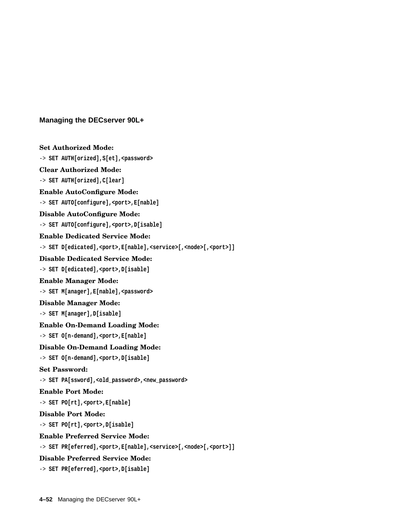```
Set Authorized Mode:
-> SET AUTH[orized],S[et],<password>
Clear Authorized Mode:
-> SET AUTH[orized],C[lear]
Enable AutoConfigure Mode:
-> SET AUTO[configure],<port>,E[nable]
Disable AutoConfigure Mode:
-> SET AUTO[configure],<port>,D[isable]
Enable Dedicated Service Mode:
-> SET D[edicated],<port>,E[nable],<service>[,<node>[,<port>]]
Disable Dedicated Service Mode:
-> SET D[edicated],<port>,D[isable]
Enable Manager Mode:
-> SET M[anager],E[nable],<password>
Disable Manager Mode:
-> SET M[anager],D[isable]
Enable On-Demand Loading Mode:
-> SET O[n-demand],<port>,E[nable]
Disable On-Demand Loading Mode:
-> SET O[n-demand],<port>,D[isable]
Set Password:
-> SET PA[ssword],<old_password>,<new_password>
Enable Port Mode:
-> SET PO[rt],<port>,E[nable]
Disable Port Mode:
-> SET PO[rt],<port>,D[isable]
Enable Preferred Service Mode:
-> SET PR[eferred],<port>,E[nable],<service>[,<node>[,<port>]]
Disable Preferred Service Mode:
```
-> **SET PR[eferred],<port>,D[isable]**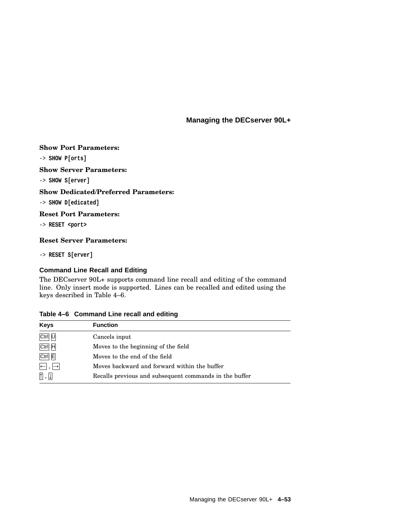#### **Show Port Parameters:**

-> **SHOW P[orts]**

#### **Show Server Parameters:**

-> **SHOW S[erver]**

#### **Show Dedicated/Preferred Parameters:**

-> **SHOW D[edicated]**

#### **Reset Port Parameters:**

-> **RESET <port>**

#### **Reset Server Parameters:**

-> **RESET S[erver]**

#### **Command Line Recall and Editing**

The DECserver 90L+ supports command line recall and editing of the command line. Only insert mode is supported. Lines can be recalled and edited using the keys described in Table 4–6.

#### **Table 4–6 Command Line recall and editing**

| <b>Keys</b>                                                | <b>Function</b>                                        |
|------------------------------------------------------------|--------------------------------------------------------|
| Ctrl U                                                     | Cancels input                                          |
| Ctrl H                                                     | Moves to the beginning of the field                    |
| $Ctrl$ $E$                                                 | Moves to the end of the field                          |
| $\left  \leftarrow \right $ , $\left  \rightarrow \right $ | Moves backward and forward within the buffer           |
| $\mathbb{\Pi}$ , $\mathbb{\Pi}$                            | Recalls previous and subsequent commands in the buffer |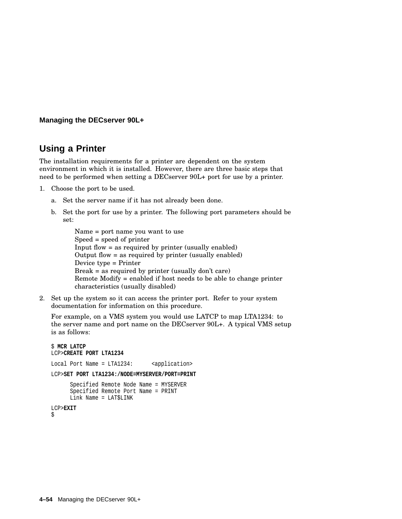# **Using a Printer**

The installation requirements for a printer are dependent on the system environment in which it is installed. However, there are three basic steps that need to be performed when setting a DECserver 90L+ port for use by a printer.

- 1. Choose the port to be used.
	- a. Set the server name if it has not already been done.
	- b. Set the port for use by a printer. The following port parameters should be set:

```
Name = port name you want to use
Speed = speed of printer
Input flow = as required by printer (usually enabled)
Output flow = as required by printer (usually enabled)
Device type = Printer
Break = as required by printer (usually don't care)
Remote Modify = enabled if host needs to be able to change printer
characteristics (usually disabled)
```
2. Set up the system so it can access the printer port. Refer to your system documentation for information on this procedure.

For example, on a VMS system you would use LATCP to map LTA1234: to the server name and port name on the DECserver 90L+. A typical VMS setup is as follows:

```
$ MCR LATCP
LCP>CREATE PORT LTA1234
Local Port Name = LTA1234: <application>
LCP>SET PORT LTA1234:/NODE=MYSERVER/PORT=PRINT
      Specified Remote Node Name = MYSERVER
      Specified Remote Port Name = PRINT
      Link Name = LAT$LINK
LCP>EXIT
$
```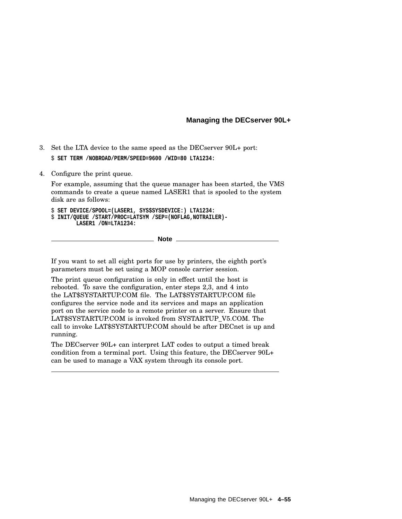- 3. Set the LTA device to the same speed as the DECserver 90L+ port: \$ **SET TERM /NOBROAD/PERM/SPEED=9600 /WID=80 LTA1234:**
- 4. Configure the print queue.

For example, assuming that the queue manager has been started, the VMS commands to create a queue named LASER1 that is spooled to the system disk are as follows:

\$ **SET DEVICE/SPOOL=(LASER1, SYS\$SYSDEVICE:) LTA1234:** \$ **INIT/QUEUE /START/PROC=LATSYM /SEP=(NOFLAG,NOTRAILER)- LASER1 /ON=LTA1234:**

**Note**

If you want to set all eight ports for use by printers, the eighth port's parameters must be set using a MOP console carrier session.

The print queue configuration is only in effect until the host is rebooted. To save the configuration, enter steps 2,3, and 4 into the LAT\$SYSTARTUP.COM file. The LAT\$SYSTARTUP.COM file configures the service node and its services and maps an application port on the service node to a remote printer on a server. Ensure that LAT\$SYSTARTUP.COM is invoked from SYSTARTUP\_V5.COM. The call to invoke LAT\$SYSTARTUP.COM should be after DECnet is up and running.

The DECserver 90L+ can interpret LAT codes to output a timed break condition from a terminal port. Using this feature, the DECserver 90L+ can be used to manage a VAX system through its console port.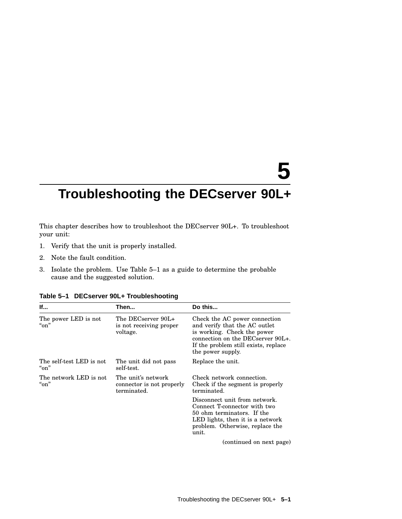# **5**

# **Troubleshooting the DECserver 90L+**

This chapter describes how to troubleshoot the DECserver 90L+. To troubleshoot your unit:

- 1. Verify that the unit is properly installed.
- 2. Note the fault condition.
- 3. Isolate the problem. Use Table 5–1 as a guide to determine the probable cause and the suggested solution.

| If                                       | Then                                                           | Do this                                                                                                                                                                                               |
|------------------------------------------|----------------------------------------------------------------|-------------------------------------------------------------------------------------------------------------------------------------------------------------------------------------------------------|
| The power LED is not<br>" $\alpha$ "     | The DECserver 90L+<br>is not receiving proper<br>voltage.      | Check the AC power connection<br>and verify that the AC outlet<br>is working. Check the power<br>connection on the DECserver $90L_{+}$ .<br>If the problem still exists, replace<br>the power supply. |
| The self-test LED is not<br>" $\alpha$ " | The unit did not pass<br>self-test.                            | Replace the unit.                                                                                                                                                                                     |
| The network LED is not<br>" $\alpha$ "   | The unit's network<br>connector is not properly<br>terminated. | Check network connection.<br>Check if the segment is properly<br>terminated.                                                                                                                          |
|                                          |                                                                | Disconnect unit from network.<br>Connect T-connector with two<br>50 ohm terminators. If the<br>LED lights, then it is a network<br>problem. Otherwise, replace the<br>unit.                           |
|                                          |                                                                | (continued on next page)                                                                                                                                                                              |

**Table 5–1 DECserver 90L+ Troubleshooting**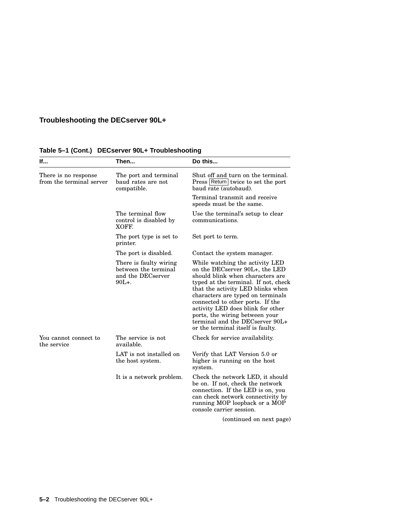# **Troubleshooting the DECserver 90L+**

| lf                                               | Then                                                                            | Do this                                                                                                                                                                                                                                                                                                                                                                                                    |
|--------------------------------------------------|---------------------------------------------------------------------------------|------------------------------------------------------------------------------------------------------------------------------------------------------------------------------------------------------------------------------------------------------------------------------------------------------------------------------------------------------------------------------------------------------------|
| There is no response<br>from the terminal server | The port and terminal<br>baud rates are not<br>compatible.                      | Shut off and turn on the terminal.<br>Press Return twice to set the port<br>baud rate (autobaud).                                                                                                                                                                                                                                                                                                          |
|                                                  |                                                                                 | Terminal transmit and receive<br>speeds must be the same.                                                                                                                                                                                                                                                                                                                                                  |
|                                                  | The terminal flow<br>control is disabled by<br>XOFF.                            | Use the terminal's setup to clear<br>communications.                                                                                                                                                                                                                                                                                                                                                       |
|                                                  | The port type is set to<br>printer.                                             | Set port to term.                                                                                                                                                                                                                                                                                                                                                                                          |
|                                                  | The port is disabled.                                                           | Contact the system manager.                                                                                                                                                                                                                                                                                                                                                                                |
|                                                  | There is faulty wiring<br>between the terminal<br>and the DECserver<br>$90L+$ . | While watching the activity LED<br>on the DECserver 90L+, the LED<br>should blink when characters are<br>typed at the terminal. If not, check<br>that the activity LED blinks when<br>characters are typed on terminals<br>connected to other ports. If the<br>activity LED does blink for other<br>ports, the wiring between your<br>terminal and the DECserver 90L+<br>or the terminal itself is faulty. |
| You cannot connect to<br>the service             | The service is not<br>available.                                                | Check for service availability.                                                                                                                                                                                                                                                                                                                                                                            |
|                                                  | LAT is not installed on<br>the host system.                                     | Verify that LAT Version 5.0 or<br>higher is running on the host<br>system.                                                                                                                                                                                                                                                                                                                                 |
|                                                  | It is a network problem.                                                        | Check the network LED, it should<br>be on. If not, check the network<br>connection. If the LED is on, you<br>can check network connectivity by<br>running MOP loopback or a MOP<br>console carrier session.                                                                                                                                                                                                |
|                                                  |                                                                                 | (continued on next page)                                                                                                                                                                                                                                                                                                                                                                                   |

#### **Table 5–1 (Cont.) DECserver 90L+ Troubleshooting**

**5–2** Troubleshooting the DECserver 90L+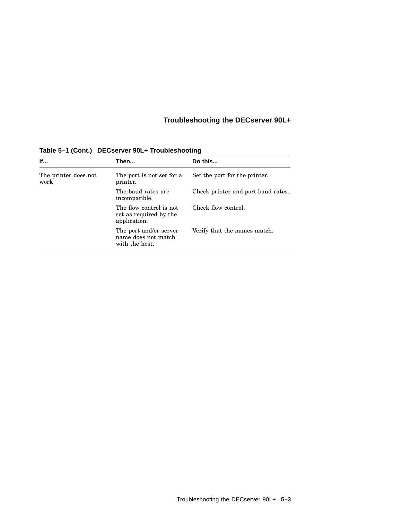# **Troubleshooting the DECserver 90L+**

| <b>If</b>                    | Then                                                              | Do this                            |
|------------------------------|-------------------------------------------------------------------|------------------------------------|
| The printer does not<br>work | The port is not set for a<br>printer.                             | Set the port for the printer.      |
|                              | The baud rates are<br>incompatible.                               | Check printer and port baud rates. |
|                              | The flow control is not<br>set as required by the<br>application. | Check flow control.                |
|                              | The port and/or server<br>name does not match<br>with the host.   | Verify that the names match.       |

**Table 5–1 (Cont.) DECserver 90L+ Troubleshooting**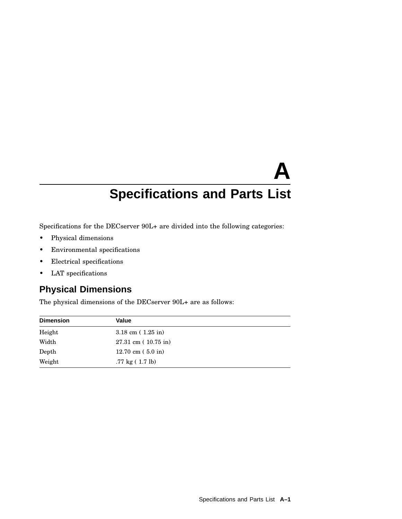Specifications for the DECserver 90L+ are divided into the following categories:

- Physical dimensions
- Environmental specifications
- Electrical specifications
- LAT specifications

# **Physical Dimensions**

The physical dimensions of the DECserver 90L+ are as follows:

| <b>Dimension</b> | Value                             |
|------------------|-----------------------------------|
| Height           | $3.18$ cm $(1.25$ in)             |
| Width            | $27.31 \text{ cm}$ (10.75 in)     |
| Depth            | $12.70 \text{ cm}$ (5.0 in)       |
| Weight           | $.77 \text{ kg} (1.7 \text{ lb})$ |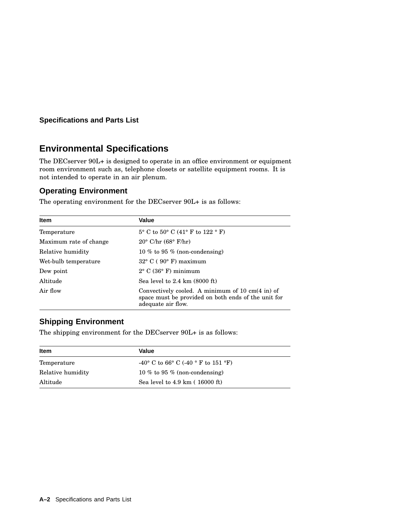# **Environmental Specifications**

The DECserver 90L+ is designed to operate in an office environment or equipment room environment such as, telephone closets or satellite equipment rooms. It is not intended to operate in an air plenum.

#### **Operating Environment**

The operating environment for the DECserver 90L+ is as follows:

| <b>Item</b>            | Value                                                                                                                                           |
|------------------------|-------------------------------------------------------------------------------------------------------------------------------------------------|
| Temperature            | $5^{\circ}$ C to $50^{\circ}$ C (41° F to 122 ° F)                                                                                              |
| Maximum rate of change | $20^{\circ}$ C/hr (68 $^{\circ}$ F/hr)                                                                                                          |
| Relative humidity      | 10 % to 95 % (non-condensing)                                                                                                                   |
| Wet-bulb temperature   | $32^{\circ}$ C (90 $^{\circ}$ F) maximum                                                                                                        |
| Dew point              | $2^{\circ}$ C (36 $^{\circ}$ F) minimum                                                                                                         |
| Altitude               | Sea level to $2.4 \text{ km}$ (8000 ft)                                                                                                         |
| Air flow               | Convectively cooled. A minimum of $10 \text{ cm}(4 \text{ in})$ of<br>space must be provided on both ends of the unit for<br>adequate air flow. |

#### **Shipping Environment**

The shipping environment for the DECserver 90L+ is as follows:

| Item              | <b>Value</b>                                                    |  |
|-------------------|-----------------------------------------------------------------|--|
| Temperature       | $-40^{\circ}$ C to 66° C (-40 $^{\circ}$ F to 151 $^{\circ}$ F) |  |
| Relative humidity | 10 % to 95 % (non-condensing)                                   |  |
| Altitude          | Sea level to $4.9 \text{ km}$ ( $16000 \text{ ft}$ )            |  |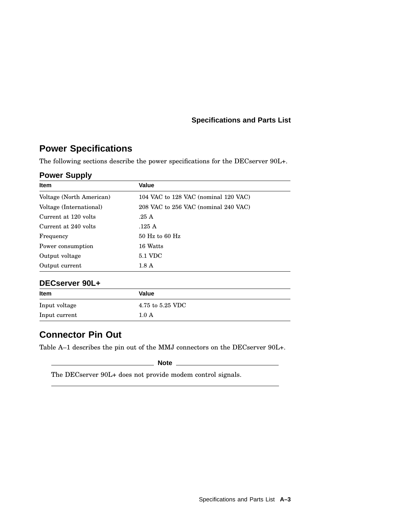# **Power Specifications**

The following sections describe the power specifications for the DECserver 90L+.

#### **Power Supply**

| <b>Item</b>              | Value                                |
|--------------------------|--------------------------------------|
| Voltage (North American) | 104 VAC to 128 VAC (nominal 120 VAC) |
| Voltage (International)  | 208 VAC to 256 VAC (nominal 240 VAC) |
| Current at 120 volts     | .25A                                 |
| Current at 240 volts     | .125 A                               |
| Frequency                | $50$ Hz to 60 Hz                     |
| Power consumption        | 16 Watts                             |
| Output voltage           | 5.1 VDC                              |
| Output current           | $1.8\;{\rm A}$                       |
| DECserver 90L+           |                                      |
| ltom                     | مساحها                               |

# **Item Value** Input voltage 4.75 to 5.25 VDC Input current 1.0 A

### **Connector Pin Out**

Table A–1 describes the pin out of the MMJ connectors on the DECserver 90L+.

**Note**

The DECserver 90L+ does not provide modem control signals.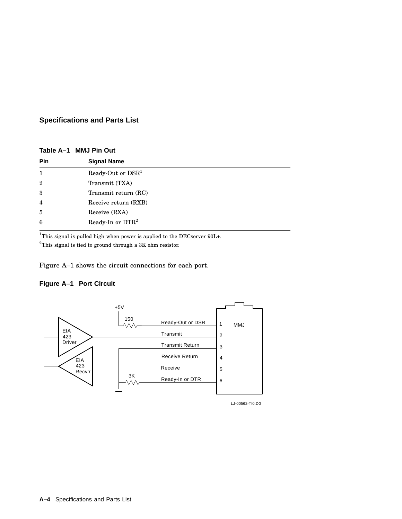| Table A–1 MMJ Pin Out |  |  |  |  |  |
|-----------------------|--|--|--|--|--|
|-----------------------|--|--|--|--|--|

| <b>Pin</b>     | <b>Signal Name</b>                                                                   |
|----------------|--------------------------------------------------------------------------------------|
| $\mathbf{1}$   | Ready-Out or DSR <sup>1</sup>                                                        |
| $\overline{2}$ | Transmit (TXA)                                                                       |
| 3              | Transmit return (RC)                                                                 |
| $\overline{4}$ | Receive return (RXB)                                                                 |
| 5              | Receive (RXA)                                                                        |
| 6              | Ready-In or DTR <sup>2</sup>                                                         |
|                | <sup>1</sup> This signal is pulled high when power is applied to the DECserver 90L+. |

 $^{2}\mathrm{This}$  signal is tied to ground through a 3K ohm resistor.

Figure A–1 shows the circuit connections for each port.

#### **Figure A–1 Port Circuit**



LJ-00562-TI0.DG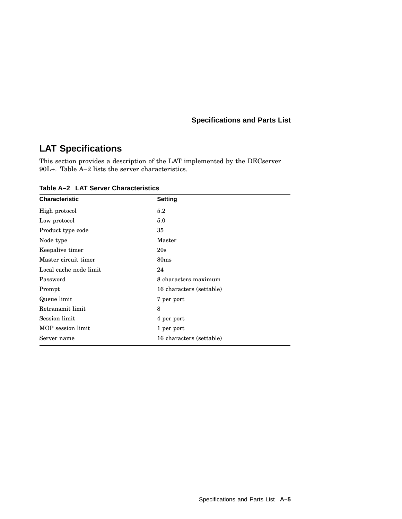# **LAT Specifications**

This section provides a description of the LAT implemented by the DECserver 90L+. Table A–2 lists the server characteristics.

**Table A–2 LAT Server Characteristics**

| <b>Characteristic</b>  | <b>Setting</b>           |
|------------------------|--------------------------|
| High protocol          | 5.2                      |
| Low protocol           | 5.0                      |
| Product type code      | 35                       |
| Node type              | Master                   |
| Keepalive timer        | 20s                      |
| Master circuit timer   | 80 <sub>ms</sub>         |
| Local cache node limit | 24                       |
| Password               | 8 characters maximum     |
| Prompt                 | 16 characters (settable) |
| Queue limit            | 7 per port               |
| Retransmit limit       | 8                        |
| Session limit          | 4 per port               |
| MOP session limit      | 1 per port               |
| Server name            | 16 characters (settable) |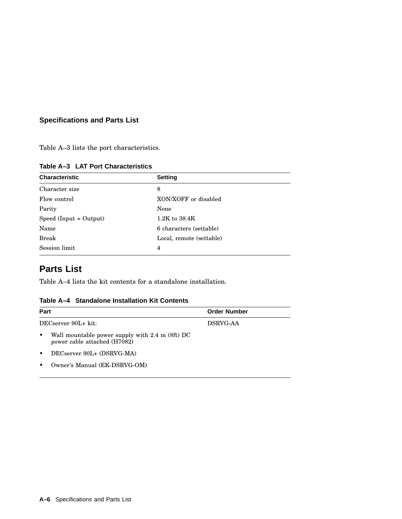Table A–3 lists the port characteristics.

| <b>Characteristic</b>    | <b>Setting</b>           |  |
|--------------------------|--------------------------|--|
| Character size           | 8                        |  |
| Flow control             | XON/XOFF or disabled     |  |
| Parity                   | None                     |  |
| $Speed (Input = Output)$ | $1.2K$ to $38.4K$        |  |
| Name                     | 6 characters (settable)  |  |
| <b>Break</b>             | Local, remote (settable) |  |
| Session limit            | 4                        |  |
|                          |                          |  |

**Table A–3 LAT Port Characteristics**

# **Parts List**

Table A–4 lists the kit contents for a standalone installation.

| Table A-4 Standalone Installation Kit Contents |  |  |
|------------------------------------------------|--|--|
|                                                |  |  |

| Part |                                                                                 | <b>Order Number</b> |
|------|---------------------------------------------------------------------------------|---------------------|
|      | DECserver 90L+ kit:                                                             | DSRVG-AA            |
|      | Wall mountable power supply with 2.4 m (8ft) DC<br>power cable attached (H7082) |                     |
|      | DECserver 90L+ (DSRVG-MA)                                                       |                     |
|      | Owner's Manual (EK-DSRVG-OM)                                                    |                     |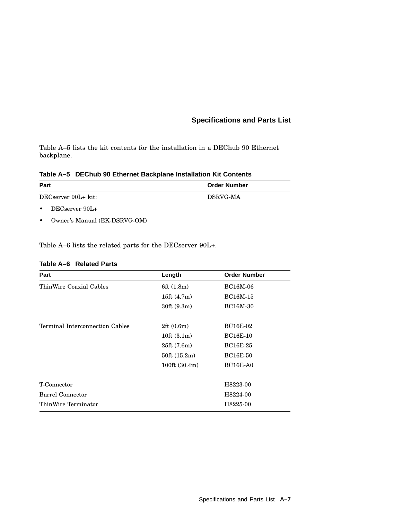Table A–5 lists the kit contents for the installation in a DEChub 90 Ethernet backplane.

**Table A–5 DEChub 90 Ethernet Backplane Installation Kit Contents**

| Part                           |  | <b>Order Number</b> |
|--------------------------------|--|---------------------|
| DECserver 90L+ kit:            |  | DSRVG-MA            |
| DECserver 90L+<br>$\bullet$    |  |                     |
| • Owner's Manual (EK-DSRVG-OM) |  |                     |

Table A–6 lists the related parts for the DECserver 90L+.

#### **Table A–6 Related Parts**

| Part                            | Length                          | <b>Order Number</b> |
|---------------------------------|---------------------------------|---------------------|
| ThinWire Coaxial Cables         | 6ft (1.8m)                      | <b>BC16M-06</b>     |
|                                 | 15ft $(4.7m)$                   | BC16M-15            |
|                                 | 30ft(9.3m)                      | <b>BC16M-30</b>     |
| Terminal Interconnection Cables | 2ft(0.6m)                       | <b>BC16E-02</b>     |
|                                 | 10ft $(3.1m)$                   | <b>BC16E-10</b>     |
|                                 | 25ft(7.6m)                      | <b>BC16E-25</b>     |
|                                 | 50ft(15.2m)                     | <b>BC16E-50</b>     |
|                                 | $100 \text{ft} (30.4 \text{m})$ | <b>BC16E-A0</b>     |
| T-Connector                     |                                 | H8223-00            |
| Barrel Connector                |                                 | H8224-00            |
| ThinWire Terminator             |                                 | H8225-00            |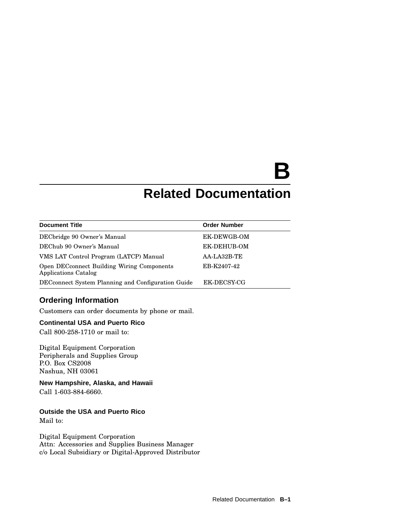# **B**

# **Related Documentation**

| <b>Document Title</b>                                              | <b>Order Number</b> |
|--------------------------------------------------------------------|---------------------|
| DECbridge 90 Owner's Manual                                        | EK-DEWGB-OM         |
| DEChub 90 Owner's Manual                                           | EK-DEHUB-OM         |
| VMS LAT Control Program (LATCP) Manual                             | AA-LA32B-TE         |
| Open DECconnect Building Wiring Components<br>Applications Catalog | EB-K2407-42         |
| DEC connect System Planning and Configuration Guide                | EK-DECSY-CG         |

#### **Ordering Information**

Customers can order documents by phone or mail.

#### **Continental USA and Puerto Rico**

Call 800-258-1710 or mail to:

Digital Equipment Corporation Peripherals and Supplies Group P.O. Box CS2008 Nashua, NH 03061

**New Hampshire, Alaska, and Hawaii** Call 1-603-884-6660.

#### **Outside the USA and Puerto Rico**

Mail to:

Digital Equipment Corporation Attn: Accessories and Supplies Business Manager c/o Local Subsidiary or Digital-Approved Distributor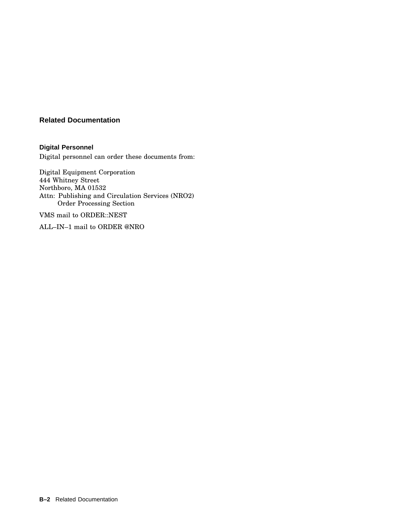#### **Related Documentation**

**Digital Personnel** Digital personnel can order these documents from:

Digital Equipment Corporation 444 Whitney Street Northboro, MA 01532 Attn: Publishing and Circulation Services (NRO2) Order Processing Section

VMS mail to ORDER::NEST

ALL–IN–1 mail to ORDER @NRO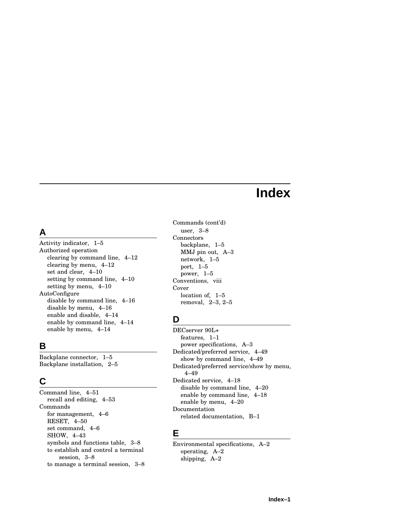# **Index**

## **A**

Activity indicator, 1–5 Authorized operation clearing by command line, 4–12 clearing by menu, 4–12 set and clear, 4–10 setting by command line, 4–10 setting by menu, 4–10 AutoConfigure disable by command line, 4–16 disable by menu, 4–16 enable and disable, 4–14 enable by command line, 4–14 enable by menu, 4–14

## **B**

Backplane connector, 1–5 Backplane installation, 2–5

## **C**

Command line, 4–51 recall and editing, 4–53 Commands for management, 4–6 RESET, 4–50 set command, 4–6 SHOW, 4–43 symbols and functions table, 3–8 to establish and control a terminal session, 3–8 to manage a terminal session, 3–8

Commands (cont'd) user, 3–8 Connectors backplane, 1–5 MMJ pin out, A–3 network, 1–5 port, 1–5 power, 1–5 Conventions, viii Cover location of, 1–5 removal, 2–3, 2–5

## **D**

DECserver 90L+ features, 1–1 power specifications, A–3 Dedicated/preferred service, 4–49 show by command line, 4–49 Dedicated/preferred service/show by menu, 4–49 Dedicated service, 4–18 disable by command line, 4–20 enable by command line, 4–18 enable by menu, 4–20 Documentation related documentation, B–1

#### **E**

Environmental specifications, A–2 operating, A–2 shipping, A–2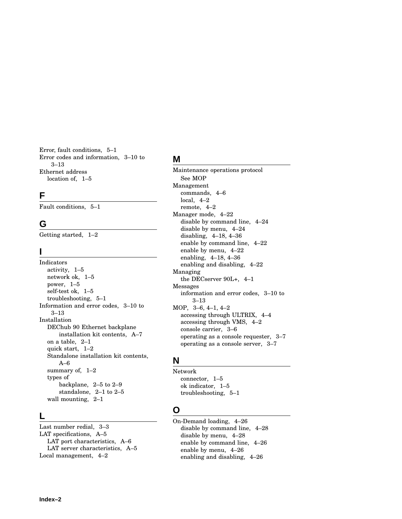Error, fault conditions, 5–1 Error codes and information, 3–10 to 3–13 Ethernet address location of, 1–5

#### **F**

Fault conditions, 5–1

#### **G**

Getting started, 1–2

#### **I**

Indicators activity, 1–5 network ok, 1–5 power, 1–5 self-test ok, 1–5 troubleshooting, 5–1 Information and error codes, 3–10 to 3–13 Installation DEChub 90 Ethernet backplane installation kit contents, A–7 on a table, 2–1 quick start, 1–2 Standalone installation kit contents, A–6 summary of, 1–2 types of backplane, 2–5 to 2–9 standalone, 2–1 to 2–5 wall mounting, 2–1

#### **L**

Last number redial, 3–3 LAT specifications, A–5 LAT port characteristics, A–6 LAT server characteristics, A–5 Local management, 4–2

#### **M**

Maintenance operations protocol See MOP Management commands, 4–6 local, 4–2 remote, 4–2 Manager mode, 4–22 disable by command line, 4–24 disable by menu, 4–24 disabling, 4–18, 4–36 enable by command line, 4–22 enable by menu, 4–22 enabling, 4–18, 4–36 enabling and disabling, 4–22 Managing the DECserver 90L+, 4–1 Messages information and error codes, 3–10 to 3–13 MOP, 3–6, 4–1, 4–2 accessing through ULTRIX, 4–4 accessing through VMS, 4–2 console carrier, 3–6 operating as a console requester, 3–7 operating as a console server, 3–7

#### **N**

Network connector, 1–5 ok indicator, 1–5 troubleshooting, 5–1

## **O**

On-Demand loading, 4–26 disable by command line, 4–28 disable by menu, 4–28 enable by command line, 4–26 enable by menu, 4–26 enabling and disabling, 4–26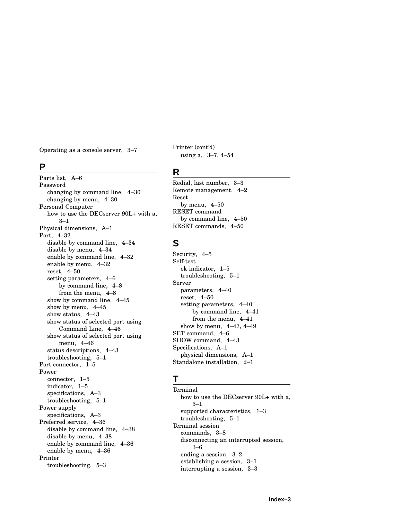Operating as a console server, 3–7

#### **P**

Parts list, A–6 Password changing by command line, 4–30 changing by menu, 4–30 Personal Computer how to use the DECserver 90L+ with a,  $3 - 1$ Physical dimensions, A–1 Port, 4–32 disable by command line, 4–34 disable by menu, 4–34 enable by command line, 4–32 enable by menu, 4–32 reset, 4–50 setting parameters, 4–6 by command line, 4–8 from the menu, 4–8 show by command line, 4–45 show by menu, 4–45 show status, 4–43 show status of selected port using Command Line, 4–46 show status of selected port using menu, 4–46 status descriptions, 4–43 troubleshooting, 5–1 Port connector, 1–5 Power connector, 1–5 indicator, 1–5 specifications, A–3 troubleshooting, 5–1 Power supply specifications, A–3 Preferred service, 4–36 disable by command line, 4–38 disable by menu, 4–38 enable by command line, 4–36 enable by menu, 4–36 Printer troubleshooting, 5–3

Printer (cont'd) using a, 3–7, 4–54

#### **R**

Redial, last number, 3–3 Remote management, 4–2 Reset by menu, 4–50 RESET command by command line, 4–50 RESET commands, 4–50

#### **S**

Security, 4–5 Self-test ok indicator, 1–5 troubleshooting, 5–1 Server parameters, 4–40 reset, 4–50 setting parameters, 4–40 by command line, 4–41 from the menu, 4–41 show by menu, 4–47, 4–49 SET command, 4–6 SHOW command, 4–43 Specifications, A–1 physical dimensions, A–1 Standalone installation, 2–1

#### **T**

**Terminal** how to use the DECserver 90L+ with a, 3–1 supported characteristics, 1–3 troubleshooting, 5–1 Terminal session commands, 3–8 disconnecting an interrupted session, 3–6 ending a session, 3–2 establishing a session, 3–1 interrupting a session, 3–3